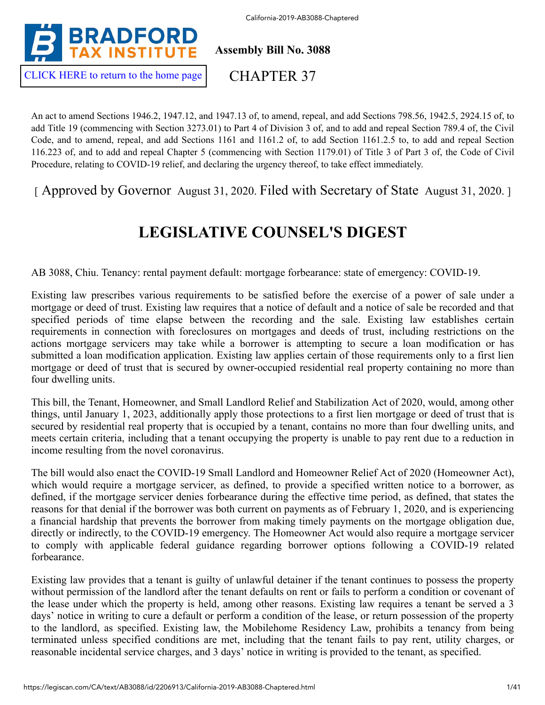

**Assembly Bill No. 3088**

# [CLICK HERE to return to the home page](https://www.bradfordtaxinstitute.com)

CHAPTER 37

An act to amend Sections 1946.2, 1947.12, and 1947.13 of, to amend, repeal, and add Sections 798.56, 1942.5, 2924.15 of, to add Title 19 (commencing with Section 3273.01) to Part 4 of Division 3 of, and to add and repeal Section 789.4 of, the Civil Code, and to amend, repeal, and add Sections 1161 and 1161.2 of, to add Section 1161.2.5 to, to add and repeal Section 116.223 of, and to add and repeal Chapter 5 (commencing with Section 1179.01) of Title 3 of Part 3 of, the Code of Civil Procedure, relating to COVID-19 relief, and declaring the urgency thereof, to take effect immediately.

[ Approved by Governor August 31, 2020. Filed with Secretary of State August 31, 2020. ]

# **LEGISLATIVE COUNSEL'S DIGEST**

AB 3088, Chiu. Tenancy: rental payment default: mortgage forbearance: state of emergency: COVID-19.

Existing law prescribes various requirements to be satisfied before the exercise of a power of sale under a mortgage or deed of trust. Existing law requires that a notice of default and a notice of sale be recorded and that specified periods of time elapse between the recording and the sale. Existing law establishes certain requirements in connection with foreclosures on mortgages and deeds of trust, including restrictions on the actions mortgage servicers may take while a borrower is attempting to secure a loan modification or has submitted a loan modification application. Existing law applies certain of those requirements only to a first lien mortgage or deed of trust that is secured by owner-occupied residential real property containing no more than four dwelling units.

This bill, the Tenant, Homeowner, and Small Landlord Relief and Stabilization Act of 2020, would, among other things, until January 1, 2023, additionally apply those protections to a first lien mortgage or deed of trust that is secured by residential real property that is occupied by a tenant, contains no more than four dwelling units, and meets certain criteria, including that a tenant occupying the property is unable to pay rent due to a reduction in income resulting from the novel coronavirus.

The bill would also enact the COVID-19 Small Landlord and Homeowner Relief Act of 2020 (Homeowner Act), which would require a mortgage servicer, as defined, to provide a specified written notice to a borrower, as defined, if the mortgage servicer denies forbearance during the effective time period, as defined, that states the reasons for that denial if the borrower was both current on payments as of February 1, 2020, and is experiencing a financial hardship that prevents the borrower from making timely payments on the mortgage obligation due, directly or indirectly, to the COVID-19 emergency. The Homeowner Act would also require a mortgage servicer to comply with applicable federal guidance regarding borrower options following a COVID-19 related forbearance.

Existing law provides that a tenant is guilty of unlawful detainer if the tenant continues to possess the property without permission of the landlord after the tenant defaults on rent or fails to perform a condition or covenant of the lease under which the property is held, among other reasons. Existing law requires a tenant be served a 3 days' notice in writing to cure a default or perform a condition of the lease, or return possession of the property to the landlord, as specified. Existing law, the Mobilehome Residency Law, prohibits a tenancy from being terminated unless specified conditions are met, including that the tenant fails to pay rent, utility charges, or reasonable incidental service charges, and 3 days' notice in writing is provided to the tenant, as specified.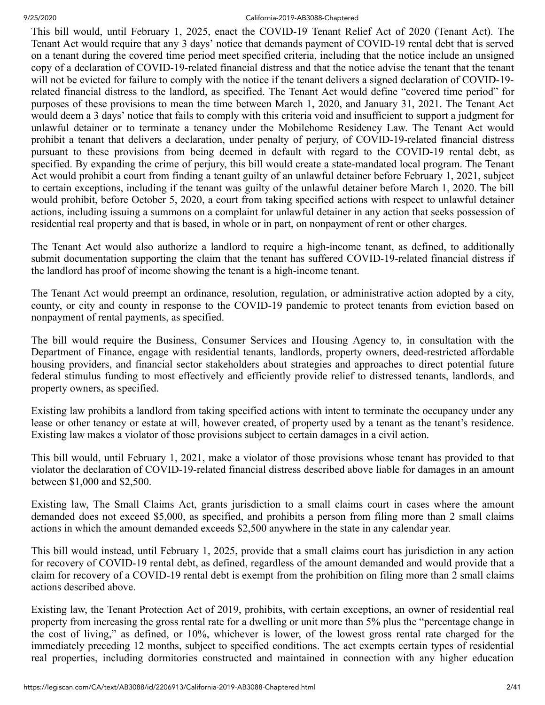This bill would, until February 1, 2025, enact the COVID-19 Tenant Relief Act of 2020 (Tenant Act). The Tenant Act would require that any 3 days' notice that demands payment of COVID-19 rental debt that is served on a tenant during the covered time period meet specified criteria, including that the notice include an unsigned copy of a declaration of COVID-19-related financial distress and that the notice advise the tenant that the tenant will not be evicted for failure to comply with the notice if the tenant delivers a signed declaration of COVID-19related financial distress to the landlord, as specified. The Tenant Act would define "covered time period" for purposes of these provisions to mean the time between March 1, 2020, and January 31, 2021. The Tenant Act would deem a 3 days' notice that fails to comply with this criteria void and insufficient to support a judgment for unlawful detainer or to terminate a tenancy under the Mobilehome Residency Law. The Tenant Act would prohibit a tenant that delivers a declaration, under penalty of perjury, of COVID-19-related financial distress pursuant to these provisions from being deemed in default with regard to the COVID-19 rental debt, as specified. By expanding the crime of perjury, this bill would create a state-mandated local program. The Tenant Act would prohibit a court from finding a tenant guilty of an unlawful detainer before February 1, 2021, subject to certain exceptions, including if the tenant was guilty of the unlawful detainer before March 1, 2020. The bill would prohibit, before October 5, 2020, a court from taking specified actions with respect to unlawful detainer actions, including issuing a summons on a complaint for unlawful detainer in any action that seeks possession of residential real property and that is based, in whole or in part, on nonpayment of rent or other charges.

The Tenant Act would also authorize a landlord to require a high-income tenant, as defined, to additionally submit documentation supporting the claim that the tenant has suffered COVID-19-related financial distress if the landlord has proof of income showing the tenant is a high-income tenant.

The Tenant Act would preempt an ordinance, resolution, regulation, or administrative action adopted by a city, county, or city and county in response to the COVID-19 pandemic to protect tenants from eviction based on nonpayment of rental payments, as specified.

The bill would require the Business, Consumer Services and Housing Agency to, in consultation with the Department of Finance, engage with residential tenants, landlords, property owners, deed-restricted affordable housing providers, and financial sector stakeholders about strategies and approaches to direct potential future federal stimulus funding to most effectively and efficiently provide relief to distressed tenants, landlords, and property owners, as specified.

Existing law prohibits a landlord from taking specified actions with intent to terminate the occupancy under any lease or other tenancy or estate at will, however created, of property used by a tenant as the tenant's residence. Existing law makes a violator of those provisions subject to certain damages in a civil action.

This bill would, until February 1, 2021, make a violator of those provisions whose tenant has provided to that violator the declaration of COVID-19-related financial distress described above liable for damages in an amount between \$1,000 and \$2,500.

Existing law, The Small Claims Act, grants jurisdiction to a small claims court in cases where the amount demanded does not exceed \$5,000, as specified, and prohibits a person from filing more than 2 small claims actions in which the amount demanded exceeds \$2,500 anywhere in the state in any calendar year.

This bill would instead, until February 1, 2025, provide that a small claims court has jurisdiction in any action for recovery of COVID-19 rental debt, as defined, regardless of the amount demanded and would provide that a claim for recovery of a COVID-19 rental debt is exempt from the prohibition on filing more than 2 small claims actions described above.

Existing law, the Tenant Protection Act of 2019, prohibits, with certain exceptions, an owner of residential real property from increasing the gross rental rate for a dwelling or unit more than 5% plus the "percentage change in the cost of living," as defined, or 10%, whichever is lower, of the lowest gross rental rate charged for the immediately preceding 12 months, subject to specified conditions. The act exempts certain types of residential real properties, including dormitories constructed and maintained in connection with any higher education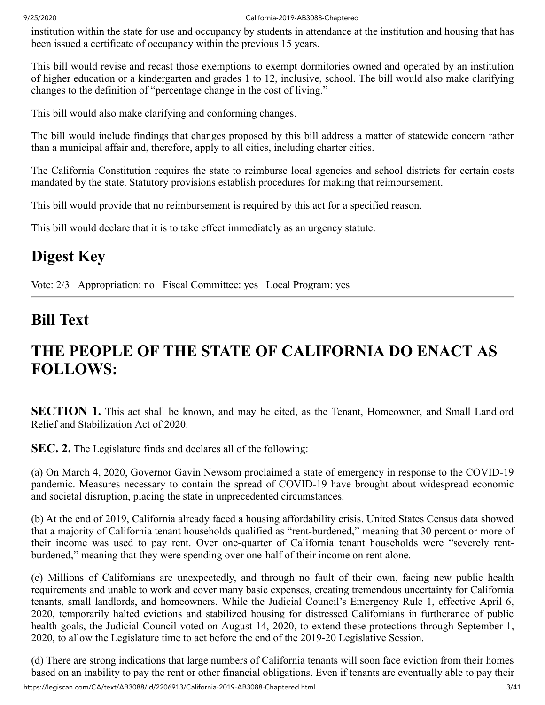institution within the state for use and occupancy by students in attendance at the institution and housing that has been issued a certificate of occupancy within the previous 15 years.

This bill would revise and recast those exemptions to exempt dormitories owned and operated by an institution of higher education or a kindergarten and grades 1 to 12, inclusive, school. The bill would also make clarifying changes to the definition of "percentage change in the cost of living."

This bill would also make clarifying and conforming changes.

The bill would include findings that changes proposed by this bill address a matter of statewide concern rather than a municipal affair and, therefore, apply to all cities, including charter cities.

The California Constitution requires the state to reimburse local agencies and school districts for certain costs mandated by the state. Statutory provisions establish procedures for making that reimbursement.

This bill would provide that no reimbursement is required by this act for a specified reason.

This bill would declare that it is to take effect immediately as an urgency statute.

# **Digest Key**

Vote: 2/3 Appropriation: no Fiscal Committee: yes Local Program: yes

# **Bill Text**

# **THE PEOPLE OF THE STATE OF CALIFORNIA DO ENACT AS FOLLOWS:**

**SECTION 1.** This act shall be known, and may be cited, as the Tenant, Homeowner, and Small Landlord Relief and Stabilization Act of 2020.

**SEC. 2.** The Legislature finds and declares all of the following:

(a) On March 4, 2020, Governor Gavin Newsom proclaimed a state of emergency in response to the COVID-19 pandemic. Measures necessary to contain the spread of COVID-19 have brought about widespread economic and societal disruption, placing the state in unprecedented circumstances.

(b) At the end of 2019, California already faced a housing affordability crisis. United States Census data showed that a majority of California tenant households qualified as "rent-burdened," meaning that 30 percent or more of their income was used to pay rent. Over one-quarter of California tenant households were "severely rentburdened," meaning that they were spending over one-half of their income on rent alone.

(c) Millions of Californians are unexpectedly, and through no fault of their own, facing new public health requirements and unable to work and cover many basic expenses, creating tremendous uncertainty for California tenants, small landlords, and homeowners. While the Judicial Council's Emergency Rule 1, effective April 6, 2020, temporarily halted evictions and stabilized housing for distressed Californians in furtherance of public health goals, the Judicial Council voted on August 14, 2020, to extend these protections through September 1, 2020, to allow the Legislature time to act before the end of the 2019-20 Legislative Session.

(d) There are strong indications that large numbers of California tenants will soon face eviction from their homes based on an inability to pay the rent or other financial obligations. Even if tenants are eventually able to pay their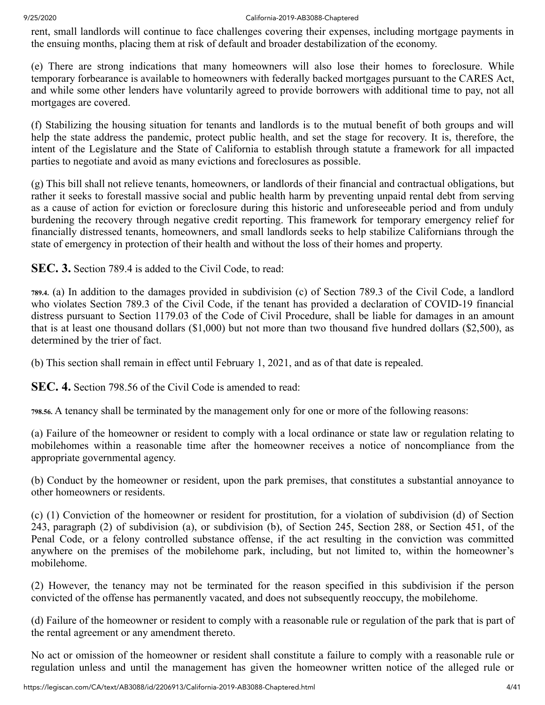rent, small landlords will continue to face challenges covering their expenses, including mortgage payments in the ensuing months, placing them at risk of default and broader destabilization of the economy.

(e) There are strong indications that many homeowners will also lose their homes to foreclosure. While temporary forbearance is available to homeowners with federally backed mortgages pursuant to the CARES Act, and while some other lenders have voluntarily agreed to provide borrowers with additional time to pay, not all mortgages are covered.

(f) Stabilizing the housing situation for tenants and landlords is to the mutual benefit of both groups and will help the state address the pandemic, protect public health, and set the stage for recovery. It is, therefore, the intent of the Legislature and the State of California to establish through statute a framework for all impacted parties to negotiate and avoid as many evictions and foreclosures as possible.

(g) This bill shall not relieve tenants, homeowners, or landlords of their financial and contractual obligations, but rather it seeks to forestall massive social and public health harm by preventing unpaid rental debt from serving as a cause of action for eviction or foreclosure during this historic and unforeseeable period and from unduly burdening the recovery through negative credit reporting. This framework for temporary emergency relief for financially distressed tenants, homeowners, and small landlords seeks to help stabilize Californians through the state of emergency in protection of their health and without the loss of their homes and property.

**SEC. 3.** Section 789.4 is added to the Civil Code, to read:

**789.4.** (a) In addition to the damages provided in subdivision (c) of Section 789.3 of the Civil Code, a landlord who violates Section 789.3 of the Civil Code, if the tenant has provided a declaration of COVID-19 financial distress pursuant to Section 1179.03 of the Code of Civil Procedure, shall be liable for damages in an amount that is at least one thousand dollars (\$1,000) but not more than two thousand five hundred dollars (\$2,500), as determined by the trier of fact.

(b) This section shall remain in effect until February 1, 2021, and as of that date is repealed.

**SEC. 4.** Section 798.56 of the Civil Code is amended to read:

**798.56.** A tenancy shall be terminated by the management only for one or more of the following reasons:

(a) Failure of the homeowner or resident to comply with a local ordinance or state law or regulation relating to mobilehomes within a reasonable time after the homeowner receives a notice of noncompliance from the appropriate governmental agency.

(b) Conduct by the homeowner or resident, upon the park premises, that constitutes a substantial annoyance to other homeowners or residents.

(c) (1) Conviction of the homeowner or resident for prostitution, for a violation of subdivision (d) of Section 243, paragraph (2) of subdivision (a), or subdivision (b), of Section 245, Section 288, or Section 451, of the Penal Code, or a felony controlled substance offense, if the act resulting in the conviction was committed anywhere on the premises of the mobilehome park, including, but not limited to, within the homeowner's mobilehome.

(2) However, the tenancy may not be terminated for the reason specified in this subdivision if the person convicted of the offense has permanently vacated, and does not subsequently reoccupy, the mobilehome.

(d) Failure of the homeowner or resident to comply with a reasonable rule or regulation of the park that is part of the rental agreement or any amendment thereto.

No act or omission of the homeowner or resident shall constitute a failure to comply with a reasonable rule or regulation unless and until the management has given the homeowner written notice of the alleged rule or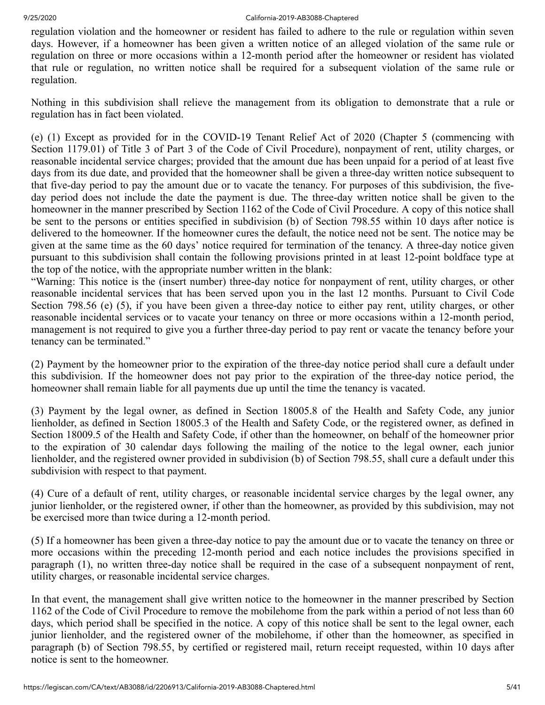regulation violation and the homeowner or resident has failed to adhere to the rule or regulation within seven days. However, if a homeowner has been given a written notice of an alleged violation of the same rule or regulation on three or more occasions within a 12-month period after the homeowner or resident has violated that rule or regulation, no written notice shall be required for a subsequent violation of the same rule or regulation.

Nothing in this subdivision shall relieve the management from its obligation to demonstrate that a rule or regulation has in fact been violated.

(e) (1) Except as provided for in the COVID-19 Tenant Relief Act of 2020 (Chapter 5 (commencing with Section 1179.01) of Title 3 of Part 3 of the Code of Civil Procedure), nonpayment of rent, utility charges, or reasonable incidental service charges; provided that the amount due has been unpaid for a period of at least five days from its due date, and provided that the homeowner shall be given a three-day written notice subsequent to that five-day period to pay the amount due or to vacate the tenancy. For purposes of this subdivision, the fiveday period does not include the date the payment is due. The three-day written notice shall be given to the homeowner in the manner prescribed by Section 1162 of the Code of Civil Procedure. A copy of this notice shall be sent to the persons or entities specified in subdivision (b) of Section 798.55 within 10 days after notice is delivered to the homeowner. If the homeowner cures the default, the notice need not be sent. The notice may be given at the same time as the 60 days' notice required for termination of the tenancy. A three-day notice given pursuant to this subdivision shall contain the following provisions printed in at least 12-point boldface type at the top of the notice, with the appropriate number written in the blank:

"Warning: This notice is the (insert number) three-day notice for nonpayment of rent, utility charges, or other reasonable incidental services that has been served upon you in the last 12 months. Pursuant to Civil Code Section 798.56 (e) (5), if you have been given a three-day notice to either pay rent, utility charges, or other reasonable incidental services or to vacate your tenancy on three or more occasions within a 12-month period, management is not required to give you a further three-day period to pay rent or vacate the tenancy before your tenancy can be terminated."

(2) Payment by the homeowner prior to the expiration of the three-day notice period shall cure a default under this subdivision. If the homeowner does not pay prior to the expiration of the three-day notice period, the homeowner shall remain liable for all payments due up until the time the tenancy is vacated.

(3) Payment by the legal owner, as defined in Section 18005.8 of the Health and Safety Code, any junior lienholder, as defined in Section 18005.3 of the Health and Safety Code, or the registered owner, as defined in Section 18009.5 of the Health and Safety Code, if other than the homeowner, on behalf of the homeowner prior to the expiration of 30 calendar days following the mailing of the notice to the legal owner, each junior lienholder, and the registered owner provided in subdivision (b) of Section 798.55, shall cure a default under this subdivision with respect to that payment.

(4) Cure of a default of rent, utility charges, or reasonable incidental service charges by the legal owner, any junior lienholder, or the registered owner, if other than the homeowner, as provided by this subdivision, may not be exercised more than twice during a 12-month period.

(5) If a homeowner has been given a three-day notice to pay the amount due or to vacate the tenancy on three or more occasions within the preceding 12-month period and each notice includes the provisions specified in paragraph (1), no written three-day notice shall be required in the case of a subsequent nonpayment of rent, utility charges, or reasonable incidental service charges.

In that event, the management shall give written notice to the homeowner in the manner prescribed by Section 1162 of the Code of Civil Procedure to remove the mobilehome from the park within a period of not less than 60 days, which period shall be specified in the notice. A copy of this notice shall be sent to the legal owner, each junior lienholder, and the registered owner of the mobilehome, if other than the homeowner, as specified in paragraph (b) of Section 798.55, by certified or registered mail, return receipt requested, within 10 days after notice is sent to the homeowner.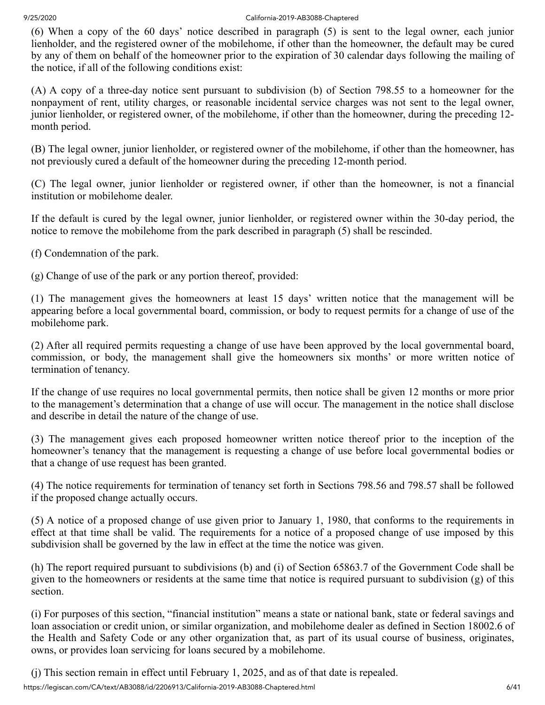(6) When a copy of the 60 days' notice described in paragraph (5) is sent to the legal owner, each junior lienholder, and the registered owner of the mobilehome, if other than the homeowner, the default may be cured by any of them on behalf of the homeowner prior to the expiration of 30 calendar days following the mailing of the notice, if all of the following conditions exist:

(A) A copy of a three-day notice sent pursuant to subdivision (b) of Section 798.55 to a homeowner for the nonpayment of rent, utility charges, or reasonable incidental service charges was not sent to the legal owner, junior lienholder, or registered owner, of the mobilehome, if other than the homeowner, during the preceding 12 month period.

(B) The legal owner, junior lienholder, or registered owner of the mobilehome, if other than the homeowner, has not previously cured a default of the homeowner during the preceding 12-month period.

(C) The legal owner, junior lienholder or registered owner, if other than the homeowner, is not a financial institution or mobilehome dealer.

If the default is cured by the legal owner, junior lienholder, or registered owner within the 30-day period, the notice to remove the mobilehome from the park described in paragraph (5) shall be rescinded.

(f) Condemnation of the park.

(g) Change of use of the park or any portion thereof, provided:

(1) The management gives the homeowners at least 15 days' written notice that the management will be appearing before a local governmental board, commission, or body to request permits for a change of use of the mobilehome park.

(2) After all required permits requesting a change of use have been approved by the local governmental board, commission, or body, the management shall give the homeowners six months' or more written notice of termination of tenancy.

If the change of use requires no local governmental permits, then notice shall be given 12 months or more prior to the management's determination that a change of use will occur. The management in the notice shall disclose and describe in detail the nature of the change of use.

(3) The management gives each proposed homeowner written notice thereof prior to the inception of the homeowner's tenancy that the management is requesting a change of use before local governmental bodies or that a change of use request has been granted.

(4) The notice requirements for termination of tenancy set forth in Sections 798.56 and 798.57 shall be followed if the proposed change actually occurs.

(5) A notice of a proposed change of use given prior to January 1, 1980, that conforms to the requirements in effect at that time shall be valid. The requirements for a notice of a proposed change of use imposed by this subdivision shall be governed by the law in effect at the time the notice was given.

(h) The report required pursuant to subdivisions (b) and (i) of Section 65863.7 of the Government Code shall be given to the homeowners or residents at the same time that notice is required pursuant to subdivision (g) of this section.

(i) For purposes of this section, "financial institution" means a state or national bank, state or federal savings and loan association or credit union, or similar organization, and mobilehome dealer as defined in Section 18002.6 of the Health and Safety Code or any other organization that, as part of its usual course of business, originates, owns, or provides loan servicing for loans secured by a mobilehome.

(j) This section remain in effect until February 1, 2025, and as of that date is repealed.

https://legiscan.com/CA/text/AB3088/id/2206913/California-2019-AB3088-Chaptered.html 6/41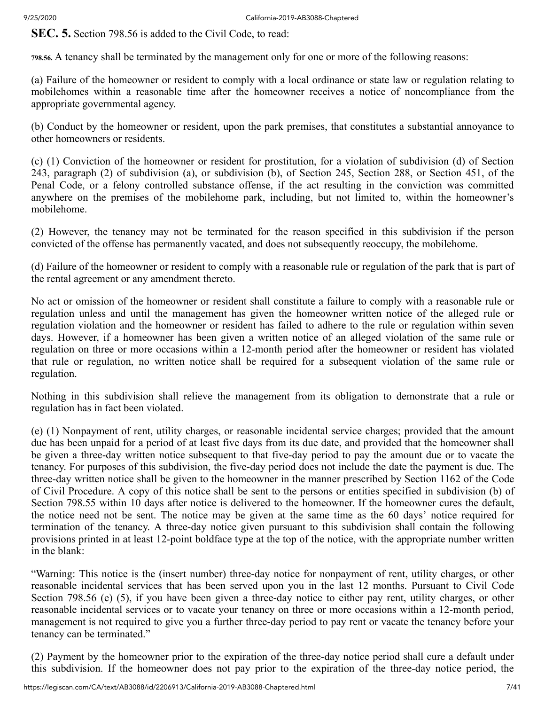**SEC. 5.** Section 798.56 is added to the Civil Code, to read:

**798.56.** A tenancy shall be terminated by the management only for one or more of the following reasons:

(a) Failure of the homeowner or resident to comply with a local ordinance or state law or regulation relating to mobilehomes within a reasonable time after the homeowner receives a notice of noncompliance from the appropriate governmental agency.

(b) Conduct by the homeowner or resident, upon the park premises, that constitutes a substantial annoyance to other homeowners or residents.

(c) (1) Conviction of the homeowner or resident for prostitution, for a violation of subdivision (d) of Section 243, paragraph (2) of subdivision (a), or subdivision (b), of Section 245, Section 288, or Section 451, of the Penal Code, or a felony controlled substance offense, if the act resulting in the conviction was committed anywhere on the premises of the mobilehome park, including, but not limited to, within the homeowner's mobilehome.

(2) However, the tenancy may not be terminated for the reason specified in this subdivision if the person convicted of the offense has permanently vacated, and does not subsequently reoccupy, the mobilehome.

(d) Failure of the homeowner or resident to comply with a reasonable rule or regulation of the park that is part of the rental agreement or any amendment thereto.

No act or omission of the homeowner or resident shall constitute a failure to comply with a reasonable rule or regulation unless and until the management has given the homeowner written notice of the alleged rule or regulation violation and the homeowner or resident has failed to adhere to the rule or regulation within seven days. However, if a homeowner has been given a written notice of an alleged violation of the same rule or regulation on three or more occasions within a 12-month period after the homeowner or resident has violated that rule or regulation, no written notice shall be required for a subsequent violation of the same rule or regulation.

Nothing in this subdivision shall relieve the management from its obligation to demonstrate that a rule or regulation has in fact been violated.

(e) (1) Nonpayment of rent, utility charges, or reasonable incidental service charges; provided that the amount due has been unpaid for a period of at least five days from its due date, and provided that the homeowner shall be given a three-day written notice subsequent to that five-day period to pay the amount due or to vacate the tenancy. For purposes of this subdivision, the five-day period does not include the date the payment is due. The three-day written notice shall be given to the homeowner in the manner prescribed by Section 1162 of the Code of Civil Procedure. A copy of this notice shall be sent to the persons or entities specified in subdivision (b) of Section 798.55 within 10 days after notice is delivered to the homeowner. If the homeowner cures the default, the notice need not be sent. The notice may be given at the same time as the 60 days' notice required for termination of the tenancy. A three-day notice given pursuant to this subdivision shall contain the following provisions printed in at least 12-point boldface type at the top of the notice, with the appropriate number written in the blank:

"Warning: This notice is the (insert number) three-day notice for nonpayment of rent, utility charges, or other reasonable incidental services that has been served upon you in the last 12 months. Pursuant to Civil Code Section 798.56 (e) (5), if you have been given a three-day notice to either pay rent, utility charges, or other reasonable incidental services or to vacate your tenancy on three or more occasions within a 12-month period, management is not required to give you a further three-day period to pay rent or vacate the tenancy before your tenancy can be terminated."

(2) Payment by the homeowner prior to the expiration of the three-day notice period shall cure a default under this subdivision. If the homeowner does not pay prior to the expiration of the three-day notice period, the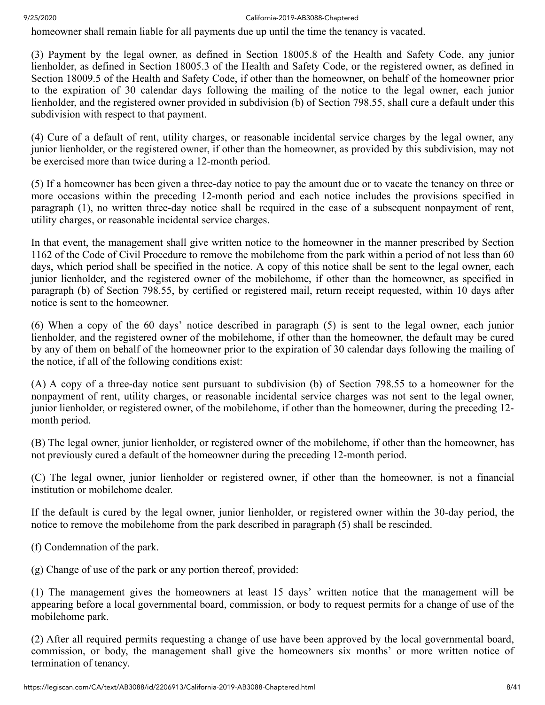homeowner shall remain liable for all payments due up until the time the tenancy is vacated.

(3) Payment by the legal owner, as defined in Section 18005.8 of the Health and Safety Code, any junior lienholder, as defined in Section 18005.3 of the Health and Safety Code, or the registered owner, as defined in Section 18009.5 of the Health and Safety Code, if other than the homeowner, on behalf of the homeowner prior to the expiration of 30 calendar days following the mailing of the notice to the legal owner, each junior lienholder, and the registered owner provided in subdivision (b) of Section 798.55, shall cure a default under this subdivision with respect to that payment.

(4) Cure of a default of rent, utility charges, or reasonable incidental service charges by the legal owner, any junior lienholder, or the registered owner, if other than the homeowner, as provided by this subdivision, may not be exercised more than twice during a 12-month period.

(5) If a homeowner has been given a three-day notice to pay the amount due or to vacate the tenancy on three or more occasions within the preceding 12-month period and each notice includes the provisions specified in paragraph (1), no written three-day notice shall be required in the case of a subsequent nonpayment of rent, utility charges, or reasonable incidental service charges.

In that event, the management shall give written notice to the homeowner in the manner prescribed by Section 1162 of the Code of Civil Procedure to remove the mobilehome from the park within a period of not less than 60 days, which period shall be specified in the notice. A copy of this notice shall be sent to the legal owner, each junior lienholder, and the registered owner of the mobilehome, if other than the homeowner, as specified in paragraph (b) of Section 798.55, by certified or registered mail, return receipt requested, within 10 days after notice is sent to the homeowner.

(6) When a copy of the 60 days' notice described in paragraph (5) is sent to the legal owner, each junior lienholder, and the registered owner of the mobilehome, if other than the homeowner, the default may be cured by any of them on behalf of the homeowner prior to the expiration of 30 calendar days following the mailing of the notice, if all of the following conditions exist:

(A) A copy of a three-day notice sent pursuant to subdivision (b) of Section 798.55 to a homeowner for the nonpayment of rent, utility charges, or reasonable incidental service charges was not sent to the legal owner, junior lienholder, or registered owner, of the mobilehome, if other than the homeowner, during the preceding 12 month period.

(B) The legal owner, junior lienholder, or registered owner of the mobilehome, if other than the homeowner, has not previously cured a default of the homeowner during the preceding 12-month period.

(C) The legal owner, junior lienholder or registered owner, if other than the homeowner, is not a financial institution or mobilehome dealer.

If the default is cured by the legal owner, junior lienholder, or registered owner within the 30-day period, the notice to remove the mobilehome from the park described in paragraph (5) shall be rescinded.

(f) Condemnation of the park.

(g) Change of use of the park or any portion thereof, provided:

(1) The management gives the homeowners at least 15 days' written notice that the management will be appearing before a local governmental board, commission, or body to request permits for a change of use of the mobilehome park.

(2) After all required permits requesting a change of use have been approved by the local governmental board, commission, or body, the management shall give the homeowners six months' or more written notice of termination of tenancy.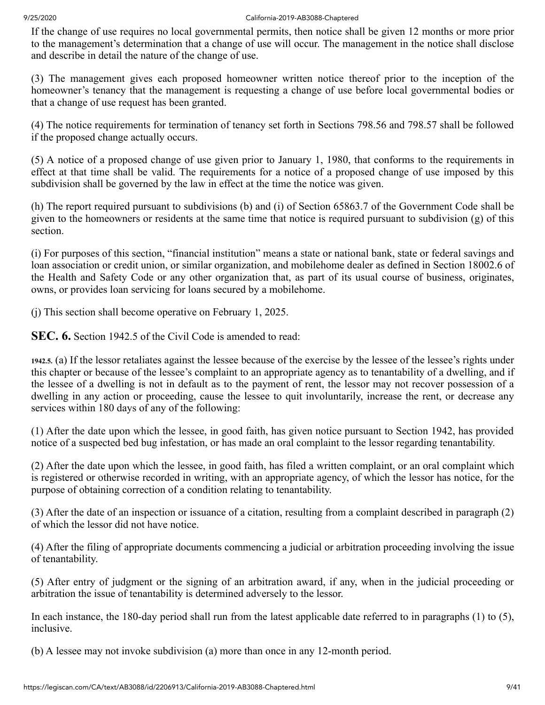If the change of use requires no local governmental permits, then notice shall be given 12 months or more prior to the management's determination that a change of use will occur. The management in the notice shall disclose and describe in detail the nature of the change of use.

(3) The management gives each proposed homeowner written notice thereof prior to the inception of the homeowner's tenancy that the management is requesting a change of use before local governmental bodies or that a change of use request has been granted.

(4) The notice requirements for termination of tenancy set forth in Sections 798.56 and 798.57 shall be followed if the proposed change actually occurs.

(5) A notice of a proposed change of use given prior to January 1, 1980, that conforms to the requirements in effect at that time shall be valid. The requirements for a notice of a proposed change of use imposed by this subdivision shall be governed by the law in effect at the time the notice was given.

(h) The report required pursuant to subdivisions (b) and (i) of Section 65863.7 of the Government Code shall be given to the homeowners or residents at the same time that notice is required pursuant to subdivision (g) of this section.

(i) For purposes of this section, "financial institution" means a state or national bank, state or federal savings and loan association or credit union, or similar organization, and mobilehome dealer as defined in Section 18002.6 of the Health and Safety Code or any other organization that, as part of its usual course of business, originates, owns, or provides loan servicing for loans secured by a mobilehome.

(j) This section shall become operative on February 1, 2025.

**SEC. 6.** Section 1942.5 of the Civil Code is amended to read:

**1942.5.** (a) If the lessor retaliates against the lessee because of the exercise by the lessee of the lessee's rights under this chapter or because of the lessee's complaint to an appropriate agency as to tenantability of a dwelling, and if the lessee of a dwelling is not in default as to the payment of rent, the lessor may not recover possession of a dwelling in any action or proceeding, cause the lessee to quit involuntarily, increase the rent, or decrease any services within 180 days of any of the following:

(1) After the date upon which the lessee, in good faith, has given notice pursuant to Section 1942, has provided notice of a suspected bed bug infestation, or has made an oral complaint to the lessor regarding tenantability.

(2) After the date upon which the lessee, in good faith, has filed a written complaint, or an oral complaint which is registered or otherwise recorded in writing, with an appropriate agency, of which the lessor has notice, for the purpose of obtaining correction of a condition relating to tenantability.

(3) After the date of an inspection or issuance of a citation, resulting from a complaint described in paragraph (2) of which the lessor did not have notice.

(4) After the filing of appropriate documents commencing a judicial or arbitration proceeding involving the issue of tenantability.

(5) After entry of judgment or the signing of an arbitration award, if any, when in the judicial proceeding or arbitration the issue of tenantability is determined adversely to the lessor.

In each instance, the 180-day period shall run from the latest applicable date referred to in paragraphs (1) to (5), inclusive.

(b) A lessee may not invoke subdivision (a) more than once in any 12-month period.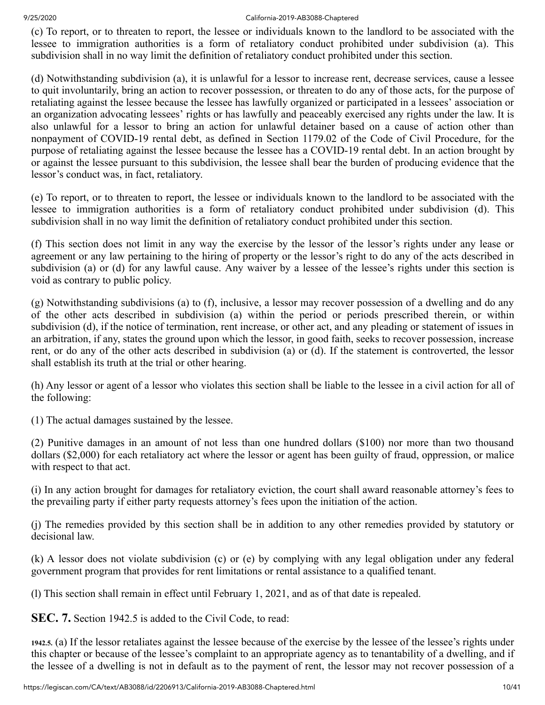(c) To report, or to threaten to report, the lessee or individuals known to the landlord to be associated with the lessee to immigration authorities is a form of retaliatory conduct prohibited under subdivision (a). This subdivision shall in no way limit the definition of retaliatory conduct prohibited under this section.

(d) Notwithstanding subdivision (a), it is unlawful for a lessor to increase rent, decrease services, cause a lessee to quit involuntarily, bring an action to recover possession, or threaten to do any of those acts, for the purpose of retaliating against the lessee because the lessee has lawfully organized or participated in a lessees' association or an organization advocating lessees' rights or has lawfully and peaceably exercised any rights under the law. It is also unlawful for a lessor to bring an action for unlawful detainer based on a cause of action other than nonpayment of COVID-19 rental debt, as defined in Section 1179.02 of the Code of Civil Procedure, for the purpose of retaliating against the lessee because the lessee has a COVID-19 rental debt. In an action brought by or against the lessee pursuant to this subdivision, the lessee shall bear the burden of producing evidence that the lessor's conduct was, in fact, retaliatory.

(e) To report, or to threaten to report, the lessee or individuals known to the landlord to be associated with the lessee to immigration authorities is a form of retaliatory conduct prohibited under subdivision (d). This subdivision shall in no way limit the definition of retaliatory conduct prohibited under this section.

(f) This section does not limit in any way the exercise by the lessor of the lessor's rights under any lease or agreement or any law pertaining to the hiring of property or the lessor's right to do any of the acts described in subdivision (a) or (d) for any lawful cause. Any waiver by a lessee of the lessee's rights under this section is void as contrary to public policy.

(g) Notwithstanding subdivisions (a) to (f), inclusive, a lessor may recover possession of a dwelling and do any of the other acts described in subdivision (a) within the period or periods prescribed therein, or within subdivision (d), if the notice of termination, rent increase, or other act, and any pleading or statement of issues in an arbitration, if any, states the ground upon which the lessor, in good faith, seeks to recover possession, increase rent, or do any of the other acts described in subdivision (a) or (d). If the statement is controverted, the lessor shall establish its truth at the trial or other hearing.

(h) Any lessor or agent of a lessor who violates this section shall be liable to the lessee in a civil action for all of the following:

(1) The actual damages sustained by the lessee.

(2) Punitive damages in an amount of not less than one hundred dollars (\$100) nor more than two thousand dollars (\$2,000) for each retaliatory act where the lessor or agent has been guilty of fraud, oppression, or malice with respect to that act.

(i) In any action brought for damages for retaliatory eviction, the court shall award reasonable attorney's fees to the prevailing party if either party requests attorney's fees upon the initiation of the action.

(j) The remedies provided by this section shall be in addition to any other remedies provided by statutory or decisional law.

(k) A lessor does not violate subdivision (c) or (e) by complying with any legal obligation under any federal government program that provides for rent limitations or rental assistance to a qualified tenant.

(l) This section shall remain in effect until February 1, 2021, and as of that date is repealed.

**SEC. 7.** Section 1942.5 is added to the Civil Code, to read:

**1942.5.** (a) If the lessor retaliates against the lessee because of the exercise by the lessee of the lessee's rights under this chapter or because of the lessee's complaint to an appropriate agency as to tenantability of a dwelling, and if the lessee of a dwelling is not in default as to the payment of rent, the lessor may not recover possession of a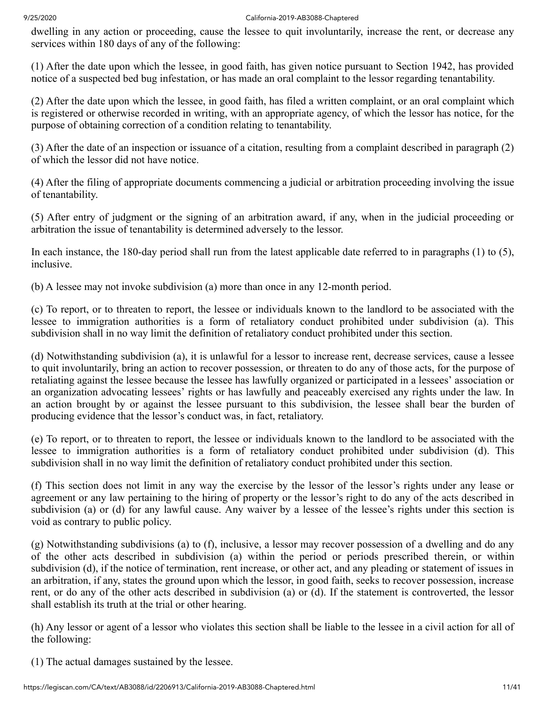dwelling in any action or proceeding, cause the lessee to quit involuntarily, increase the rent, or decrease any services within 180 days of any of the following:

(1) After the date upon which the lessee, in good faith, has given notice pursuant to Section 1942, has provided notice of a suspected bed bug infestation, or has made an oral complaint to the lessor regarding tenantability.

(2) After the date upon which the lessee, in good faith, has filed a written complaint, or an oral complaint which is registered or otherwise recorded in writing, with an appropriate agency, of which the lessor has notice, for the purpose of obtaining correction of a condition relating to tenantability.

(3) After the date of an inspection or issuance of a citation, resulting from a complaint described in paragraph (2) of which the lessor did not have notice.

(4) After the filing of appropriate documents commencing a judicial or arbitration proceeding involving the issue of tenantability.

(5) After entry of judgment or the signing of an arbitration award, if any, when in the judicial proceeding or arbitration the issue of tenantability is determined adversely to the lessor.

In each instance, the 180-day period shall run from the latest applicable date referred to in paragraphs (1) to (5), inclusive.

(b) A lessee may not invoke subdivision (a) more than once in any 12-month period.

(c) To report, or to threaten to report, the lessee or individuals known to the landlord to be associated with the lessee to immigration authorities is a form of retaliatory conduct prohibited under subdivision (a). This subdivision shall in no way limit the definition of retaliatory conduct prohibited under this section.

(d) Notwithstanding subdivision (a), it is unlawful for a lessor to increase rent, decrease services, cause a lessee to quit involuntarily, bring an action to recover possession, or threaten to do any of those acts, for the purpose of retaliating against the lessee because the lessee has lawfully organized or participated in a lessees' association or an organization advocating lessees' rights or has lawfully and peaceably exercised any rights under the law. In an action brought by or against the lessee pursuant to this subdivision, the lessee shall bear the burden of producing evidence that the lessor's conduct was, in fact, retaliatory.

(e) To report, or to threaten to report, the lessee or individuals known to the landlord to be associated with the lessee to immigration authorities is a form of retaliatory conduct prohibited under subdivision (d). This subdivision shall in no way limit the definition of retaliatory conduct prohibited under this section.

(f) This section does not limit in any way the exercise by the lessor of the lessor's rights under any lease or agreement or any law pertaining to the hiring of property or the lessor's right to do any of the acts described in subdivision (a) or (d) for any lawful cause. Any waiver by a lessee of the lessee's rights under this section is void as contrary to public policy.

(g) Notwithstanding subdivisions (a) to (f), inclusive, a lessor may recover possession of a dwelling and do any of the other acts described in subdivision (a) within the period or periods prescribed therein, or within subdivision (d), if the notice of termination, rent increase, or other act, and any pleading or statement of issues in an arbitration, if any, states the ground upon which the lessor, in good faith, seeks to recover possession, increase rent, or do any of the other acts described in subdivision (a) or (d). If the statement is controverted, the lessor shall establish its truth at the trial or other hearing.

(h) Any lessor or agent of a lessor who violates this section shall be liable to the lessee in a civil action for all of the following:

(1) The actual damages sustained by the lessee.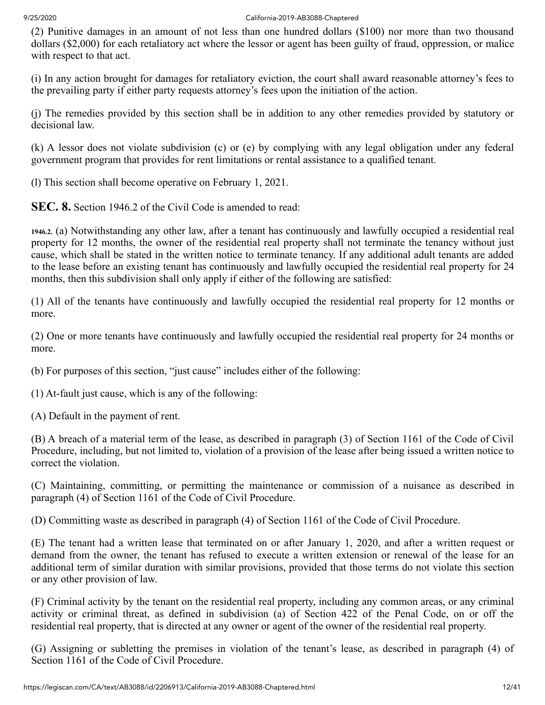(2) Punitive damages in an amount of not less than one hundred dollars (\$100) nor more than two thousand dollars (\$2,000) for each retaliatory act where the lessor or agent has been guilty of fraud, oppression, or malice with respect to that act.

(i) In any action brought for damages for retaliatory eviction, the court shall award reasonable attorney's fees to the prevailing party if either party requests attorney's fees upon the initiation of the action.

(j) The remedies provided by this section shall be in addition to any other remedies provided by statutory or decisional law.

(k) A lessor does not violate subdivision (c) or (e) by complying with any legal obligation under any federal government program that provides for rent limitations or rental assistance to a qualified tenant.

(l) This section shall become operative on February 1, 2021.

**SEC. 8.** Section 1946.2 of the Civil Code is amended to read:

**1946.2.** (a) Notwithstanding any other law, after a tenant has continuously and lawfully occupied a residential real property for 12 months, the owner of the residential real property shall not terminate the tenancy without just cause, which shall be stated in the written notice to terminate tenancy. If any additional adult tenants are added to the lease before an existing tenant has continuously and lawfully occupied the residential real property for 24 months, then this subdivision shall only apply if either of the following are satisfied:

(1) All of the tenants have continuously and lawfully occupied the residential real property for 12 months or more.

(2) One or more tenants have continuously and lawfully occupied the residential real property for 24 months or more.

(b) For purposes of this section, "just cause" includes either of the following:

(1) At-fault just cause, which is any of the following:

(A) Default in the payment of rent.

(B) A breach of a material term of the lease, as described in paragraph (3) of Section 1161 of the Code of Civil Procedure, including, but not limited to, violation of a provision of the lease after being issued a written notice to correct the violation.

(C) Maintaining, committing, or permitting the maintenance or commission of a nuisance as described in paragraph (4) of Section 1161 of the Code of Civil Procedure.

(D) Committing waste as described in paragraph (4) of Section 1161 of the Code of Civil Procedure.

(E) The tenant had a written lease that terminated on or after January 1, 2020, and after a written request or demand from the owner, the tenant has refused to execute a written extension or renewal of the lease for an additional term of similar duration with similar provisions, provided that those terms do not violate this section or any other provision of law.

(F) Criminal activity by the tenant on the residential real property, including any common areas, or any criminal activity or criminal threat, as defined in subdivision (a) of Section 422 of the Penal Code, on or off the residential real property, that is directed at any owner or agent of the owner of the residential real property.

(G) Assigning or subletting the premises in violation of the tenant's lease, as described in paragraph (4) of Section 1161 of the Code of Civil Procedure.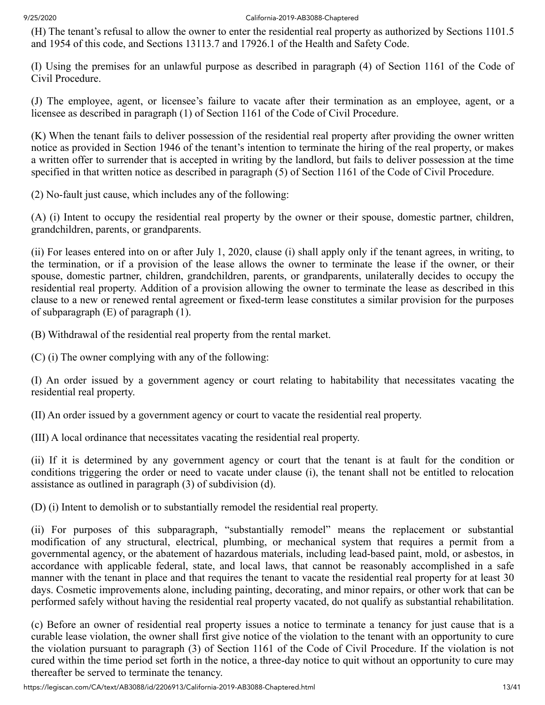(H) The tenant's refusal to allow the owner to enter the residential real property as authorized by Sections 1101.5 and 1954 of this code, and Sections 13113.7 and 17926.1 of the Health and Safety Code.

(I) Using the premises for an unlawful purpose as described in paragraph (4) of Section 1161 of the Code of Civil Procedure.

(J) The employee, agent, or licensee's failure to vacate after their termination as an employee, agent, or a licensee as described in paragraph (1) of Section 1161 of the Code of Civil Procedure.

(K) When the tenant fails to deliver possession of the residential real property after providing the owner written notice as provided in Section 1946 of the tenant's intention to terminate the hiring of the real property, or makes a written offer to surrender that is accepted in writing by the landlord, but fails to deliver possession at the time specified in that written notice as described in paragraph (5) of Section 1161 of the Code of Civil Procedure.

(2) No-fault just cause, which includes any of the following:

(A) (i) Intent to occupy the residential real property by the owner or their spouse, domestic partner, children, grandchildren, parents, or grandparents.

(ii) For leases entered into on or after July 1, 2020, clause (i) shall apply only if the tenant agrees, in writing, to the termination, or if a provision of the lease allows the owner to terminate the lease if the owner, or their spouse, domestic partner, children, grandchildren, parents, or grandparents, unilaterally decides to occupy the residential real property. Addition of a provision allowing the owner to terminate the lease as described in this clause to a new or renewed rental agreement or fixed-term lease constitutes a similar provision for the purposes of subparagraph (E) of paragraph (1).

(B) Withdrawal of the residential real property from the rental market.

(C) (i) The owner complying with any of the following:

(I) An order issued by a government agency or court relating to habitability that necessitates vacating the residential real property.

(II) An order issued by a government agency or court to vacate the residential real property.

(III) A local ordinance that necessitates vacating the residential real property.

(ii) If it is determined by any government agency or court that the tenant is at fault for the condition or conditions triggering the order or need to vacate under clause (i), the tenant shall not be entitled to relocation assistance as outlined in paragraph (3) of subdivision (d).

(D) (i) Intent to demolish or to substantially remodel the residential real property.

(ii) For purposes of this subparagraph, "substantially remodel" means the replacement or substantial modification of any structural, electrical, plumbing, or mechanical system that requires a permit from a governmental agency, or the abatement of hazardous materials, including lead-based paint, mold, or asbestos, in accordance with applicable federal, state, and local laws, that cannot be reasonably accomplished in a safe manner with the tenant in place and that requires the tenant to vacate the residential real property for at least 30 days. Cosmetic improvements alone, including painting, decorating, and minor repairs, or other work that can be performed safely without having the residential real property vacated, do not qualify as substantial rehabilitation.

(c) Before an owner of residential real property issues a notice to terminate a tenancy for just cause that is a curable lease violation, the owner shall first give notice of the violation to the tenant with an opportunity to cure the violation pursuant to paragraph (3) of Section 1161 of the Code of Civil Procedure. If the violation is not cured within the time period set forth in the notice, a three-day notice to quit without an opportunity to cure may thereafter be served to terminate the tenancy.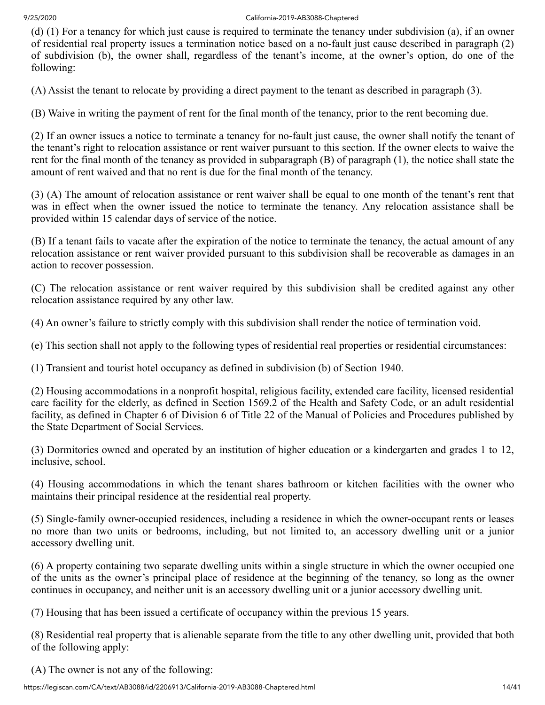(d) (1) For a tenancy for which just cause is required to terminate the tenancy under subdivision (a), if an owner of residential real property issues a termination notice based on a no-fault just cause described in paragraph (2) of subdivision (b), the owner shall, regardless of the tenant's income, at the owner's option, do one of the following:

(A) Assist the tenant to relocate by providing a direct payment to the tenant as described in paragraph (3).

(B) Waive in writing the payment of rent for the final month of the tenancy, prior to the rent becoming due.

(2) If an owner issues a notice to terminate a tenancy for no-fault just cause, the owner shall notify the tenant of the tenant's right to relocation assistance or rent waiver pursuant to this section. If the owner elects to waive the rent for the final month of the tenancy as provided in subparagraph (B) of paragraph (1), the notice shall state the amount of rent waived and that no rent is due for the final month of the tenancy.

(3) (A) The amount of relocation assistance or rent waiver shall be equal to one month of the tenant's rent that was in effect when the owner issued the notice to terminate the tenancy. Any relocation assistance shall be provided within 15 calendar days of service of the notice.

(B) If a tenant fails to vacate after the expiration of the notice to terminate the tenancy, the actual amount of any relocation assistance or rent waiver provided pursuant to this subdivision shall be recoverable as damages in an action to recover possession.

(C) The relocation assistance or rent waiver required by this subdivision shall be credited against any other relocation assistance required by any other law.

(4) An owner's failure to strictly comply with this subdivision shall render the notice of termination void.

(e) This section shall not apply to the following types of residential real properties or residential circumstances:

(1) Transient and tourist hotel occupancy as defined in subdivision (b) of Section 1940.

(2) Housing accommodations in a nonprofit hospital, religious facility, extended care facility, licensed residential care facility for the elderly, as defined in Section 1569.2 of the Health and Safety Code, or an adult residential facility, as defined in Chapter 6 of Division 6 of Title 22 of the Manual of Policies and Procedures published by the State Department of Social Services.

(3) Dormitories owned and operated by an institution of higher education or a kindergarten and grades 1 to 12, inclusive, school.

(4) Housing accommodations in which the tenant shares bathroom or kitchen facilities with the owner who maintains their principal residence at the residential real property.

(5) Single-family owner-occupied residences, including a residence in which the owner-occupant rents or leases no more than two units or bedrooms, including, but not limited to, an accessory dwelling unit or a junior accessory dwelling unit.

(6) A property containing two separate dwelling units within a single structure in which the owner occupied one of the units as the owner's principal place of residence at the beginning of the tenancy, so long as the owner continues in occupancy, and neither unit is an accessory dwelling unit or a junior accessory dwelling unit.

(7) Housing that has been issued a certificate of occupancy within the previous 15 years.

(8) Residential real property that is alienable separate from the title to any other dwelling unit, provided that both of the following apply:

(A) The owner is not any of the following: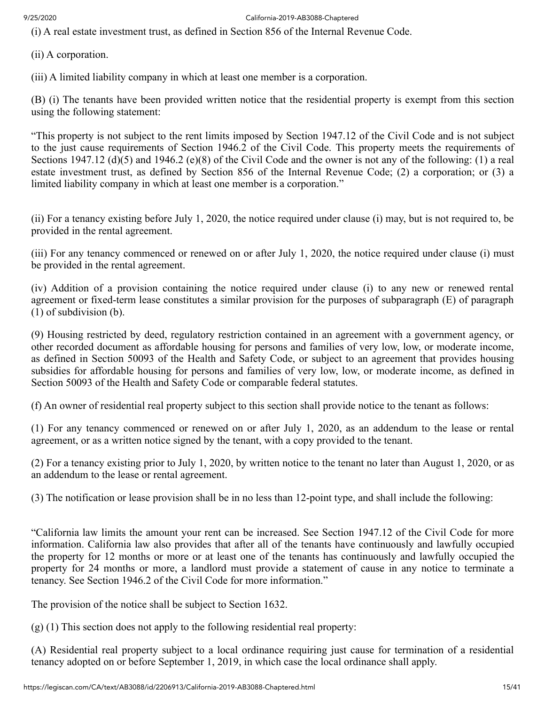(i) A real estate investment trust, as defined in Section 856 of the Internal Revenue Code.

(ii) A corporation.

(iii) A limited liability company in which at least one member is a corporation.

(B) (i) The tenants have been provided written notice that the residential property is exempt from this section using the following statement:

"This property is not subject to the rent limits imposed by Section 1947.12 of the Civil Code and is not subject to the just cause requirements of Section 1946.2 of the Civil Code. This property meets the requirements of Sections 1947.12 (d)(5) and 1946.2 (e)(8) of the Civil Code and the owner is not any of the following: (1) a real estate investment trust, as defined by Section 856 of the Internal Revenue Code; (2) a corporation; or (3) a limited liability company in which at least one member is a corporation."

(ii) For a tenancy existing before July 1, 2020, the notice required under clause (i) may, but is not required to, be provided in the rental agreement.

(iii) For any tenancy commenced or renewed on or after July 1, 2020, the notice required under clause (i) must be provided in the rental agreement.

(iv) Addition of a provision containing the notice required under clause (i) to any new or renewed rental agreement or fixed-term lease constitutes a similar provision for the purposes of subparagraph (E) of paragraph (1) of subdivision (b).

(9) Housing restricted by deed, regulatory restriction contained in an agreement with a government agency, or other recorded document as affordable housing for persons and families of very low, low, or moderate income, as defined in Section 50093 of the Health and Safety Code, or subject to an agreement that provides housing subsidies for affordable housing for persons and families of very low, low, or moderate income, as defined in Section 50093 of the Health and Safety Code or comparable federal statutes.

(f) An owner of residential real property subject to this section shall provide notice to the tenant as follows:

(1) For any tenancy commenced or renewed on or after July 1, 2020, as an addendum to the lease or rental agreement, or as a written notice signed by the tenant, with a copy provided to the tenant.

(2) For a tenancy existing prior to July 1, 2020, by written notice to the tenant no later than August 1, 2020, or as an addendum to the lease or rental agreement.

(3) The notification or lease provision shall be in no less than 12-point type, and shall include the following:

"California law limits the amount your rent can be increased. See Section 1947.12 of the Civil Code for more information. California law also provides that after all of the tenants have continuously and lawfully occupied the property for 12 months or more or at least one of the tenants has continuously and lawfully occupied the property for 24 months or more, a landlord must provide a statement of cause in any notice to terminate a tenancy. See Section 1946.2 of the Civil Code for more information."

The provision of the notice shall be subject to Section 1632.

(g) (1) This section does not apply to the following residential real property:

(A) Residential real property subject to a local ordinance requiring just cause for termination of a residential tenancy adopted on or before September 1, 2019, in which case the local ordinance shall apply.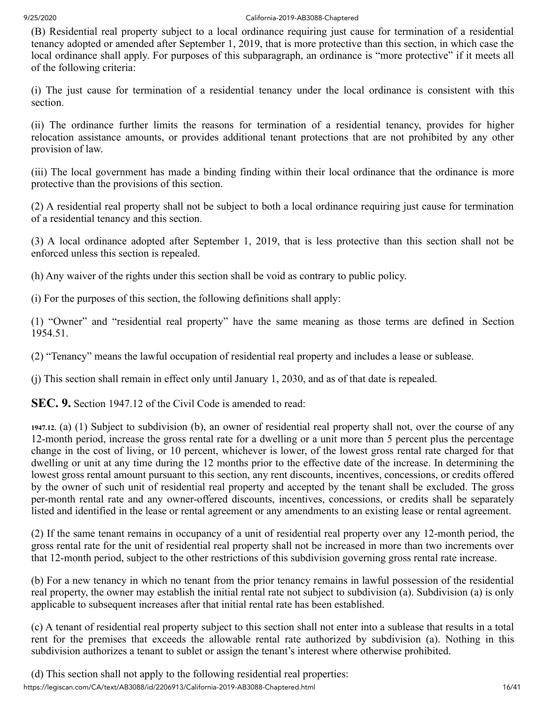(B) Residential real property subject to a local ordinance requiring just cause for termination of a residential tenancy adopted or amended after September 1, 2019, that is more protective than this section, in which case the local ordinance shall apply. For purposes of this subparagraph, an ordinance is "more protective" if it meets all of the following criteria:

(i) The just cause for termination of a residential tenancy under the local ordinance is consistent with this section.

(ii) The ordinance further limits the reasons for termination of a residential tenancy, provides for higher relocation assistance amounts, or provides additional tenant protections that are not prohibited by any other provision of law.

(iii) The local government has made a binding finding within their local ordinance that the ordinance is more protective than the provisions of this section.

(2) A residential real property shall not be subject to both a local ordinance requiring just cause for termination of a residential tenancy and this section.

(3) A local ordinance adopted after September 1, 2019, that is less protective than this section shall not be enforced unless this section is repealed.

(h) Any waiver of the rights under this section shall be void as contrary to public policy.

(i) For the purposes of this section, the following definitions shall apply:

(1) "Owner" and "residential real property" have the same meaning as those terms are defined in Section 1954.51.

(2) "Tenancy" means the lawful occupation of residential real property and includes a lease or sublease.

(j) This section shall remain in effect only until January 1, 2030, and as of that date is repealed.

**SEC. 9.** Section 1947.12 of the Civil Code is amended to read:

**1947.12.** (a) (1) Subject to subdivision (b), an owner of residential real property shall not, over the course of any 12-month period, increase the gross rental rate for a dwelling or a unit more than 5 percent plus the percentage change in the cost of living, or 10 percent, whichever is lower, of the lowest gross rental rate charged for that dwelling or unit at any time during the 12 months prior to the effective date of the increase. In determining the lowest gross rental amount pursuant to this section, any rent discounts, incentives, concessions, or credits offered by the owner of such unit of residential real property and accepted by the tenant shall be excluded. The gross per-month rental rate and any owner-offered discounts, incentives, concessions, or credits shall be separately listed and identified in the lease or rental agreement or any amendments to an existing lease or rental agreement.

(2) If the same tenant remains in occupancy of a unit of residential real property over any 12-month period, the gross rental rate for the unit of residential real property shall not be increased in more than two increments over that 12-month period, subject to the other restrictions of this subdivision governing gross rental rate increase.

(b) For a new tenancy in which no tenant from the prior tenancy remains in lawful possession of the residential real property, the owner may establish the initial rental rate not subject to subdivision (a). Subdivision (a) is only applicable to subsequent increases after that initial rental rate has been established.

(c) A tenant of residential real property subject to this section shall not enter into a sublease that results in a total rent for the premises that exceeds the allowable rental rate authorized by subdivision (a). Nothing in this subdivision authorizes a tenant to sublet or assign the tenant's interest where otherwise prohibited.

https://legiscan.com/CA/text/AB3088/id/2206913/California-2019-AB3088-Chaptered.html 16/41 (d) This section shall not apply to the following residential real properties: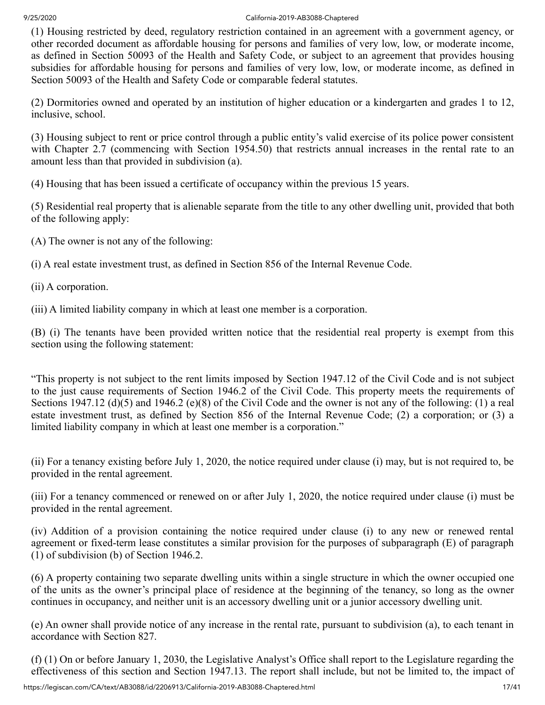(1) Housing restricted by deed, regulatory restriction contained in an agreement with a government agency, or other recorded document as affordable housing for persons and families of very low, low, or moderate income, as defined in Section 50093 of the Health and Safety Code, or subject to an agreement that provides housing subsidies for affordable housing for persons and families of very low, low, or moderate income, as defined in Section 50093 of the Health and Safety Code or comparable federal statutes.

(2) Dormitories owned and operated by an institution of higher education or a kindergarten and grades 1 to 12, inclusive, school.

(3) Housing subject to rent or price control through a public entity's valid exercise of its police power consistent with Chapter 2.7 (commencing with Section 1954.50) that restricts annual increases in the rental rate to an amount less than that provided in subdivision (a).

(4) Housing that has been issued a certificate of occupancy within the previous 15 years.

(5) Residential real property that is alienable separate from the title to any other dwelling unit, provided that both of the following apply:

(A) The owner is not any of the following:

(i) A real estate investment trust, as defined in Section 856 of the Internal Revenue Code.

(ii) A corporation.

(iii) A limited liability company in which at least one member is a corporation.

(B) (i) The tenants have been provided written notice that the residential real property is exempt from this section using the following statement:

"This property is not subject to the rent limits imposed by Section 1947.12 of the Civil Code and is not subject to the just cause requirements of Section 1946.2 of the Civil Code. This property meets the requirements of Sections 1947.12 (d)(5) and 1946.2 (e)(8) of the Civil Code and the owner is not any of the following: (1) a real estate investment trust, as defined by Section 856 of the Internal Revenue Code; (2) a corporation; or (3) a limited liability company in which at least one member is a corporation."

(ii) For a tenancy existing before July 1, 2020, the notice required under clause (i) may, but is not required to, be provided in the rental agreement.

(iii) For a tenancy commenced or renewed on or after July 1, 2020, the notice required under clause (i) must be provided in the rental agreement.

(iv) Addition of a provision containing the notice required under clause (i) to any new or renewed rental agreement or fixed-term lease constitutes a similar provision for the purposes of subparagraph (E) of paragraph (1) of subdivision (b) of Section 1946.2.

(6) A property containing two separate dwelling units within a single structure in which the owner occupied one of the units as the owner's principal place of residence at the beginning of the tenancy, so long as the owner continues in occupancy, and neither unit is an accessory dwelling unit or a junior accessory dwelling unit.

(e) An owner shall provide notice of any increase in the rental rate, pursuant to subdivision (a), to each tenant in accordance with Section 827.

(f) (1) On or before January 1, 2030, the Legislative Analyst's Office shall report to the Legislature regarding the effectiveness of this section and Section 1947.13. The report shall include, but not be limited to, the impact of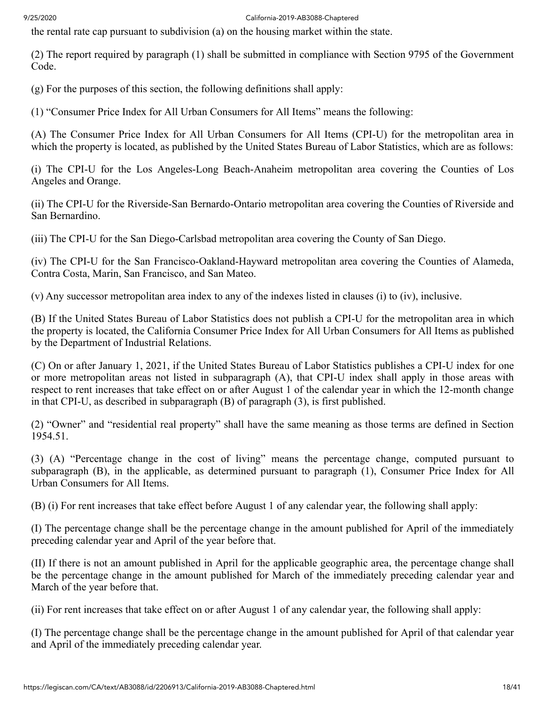the rental rate cap pursuant to subdivision (a) on the housing market within the state.

(2) The report required by paragraph (1) shall be submitted in compliance with Section 9795 of the Government Code.

(g) For the purposes of this section, the following definitions shall apply:

(1) "Consumer Price Index for All Urban Consumers for All Items" means the following:

(A) The Consumer Price Index for All Urban Consumers for All Items (CPI-U) for the metropolitan area in which the property is located, as published by the United States Bureau of Labor Statistics, which are as follows:

(i) The CPI-U for the Los Angeles-Long Beach-Anaheim metropolitan area covering the Counties of Los Angeles and Orange.

(ii) The CPI-U for the Riverside-San Bernardo-Ontario metropolitan area covering the Counties of Riverside and San Bernardino.

(iii) The CPI-U for the San Diego-Carlsbad metropolitan area covering the County of San Diego.

(iv) The CPI-U for the San Francisco-Oakland-Hayward metropolitan area covering the Counties of Alameda, Contra Costa, Marin, San Francisco, and San Mateo.

(v) Any successor metropolitan area index to any of the indexes listed in clauses (i) to (iv), inclusive.

(B) If the United States Bureau of Labor Statistics does not publish a CPI-U for the metropolitan area in which the property is located, the California Consumer Price Index for All Urban Consumers for All Items as published by the Department of Industrial Relations.

(C) On or after January 1, 2021, if the United States Bureau of Labor Statistics publishes a CPI-U index for one or more metropolitan areas not listed in subparagraph (A), that CPI-U index shall apply in those areas with respect to rent increases that take effect on or after August 1 of the calendar year in which the 12-month change in that CPI-U, as described in subparagraph (B) of paragraph (3), is first published.

(2) "Owner" and "residential real property" shall have the same meaning as those terms are defined in Section 1954.51.

(3) (A) "Percentage change in the cost of living" means the percentage change, computed pursuant to subparagraph (B), in the applicable, as determined pursuant to paragraph (1), Consumer Price Index for All Urban Consumers for All Items.

(B) (i) For rent increases that take effect before August 1 of any calendar year, the following shall apply:

(I) The percentage change shall be the percentage change in the amount published for April of the immediately preceding calendar year and April of the year before that.

(II) If there is not an amount published in April for the applicable geographic area, the percentage change shall be the percentage change in the amount published for March of the immediately preceding calendar year and March of the year before that.

(ii) For rent increases that take effect on or after August 1 of any calendar year, the following shall apply:

(I) The percentage change shall be the percentage change in the amount published for April of that calendar year and April of the immediately preceding calendar year.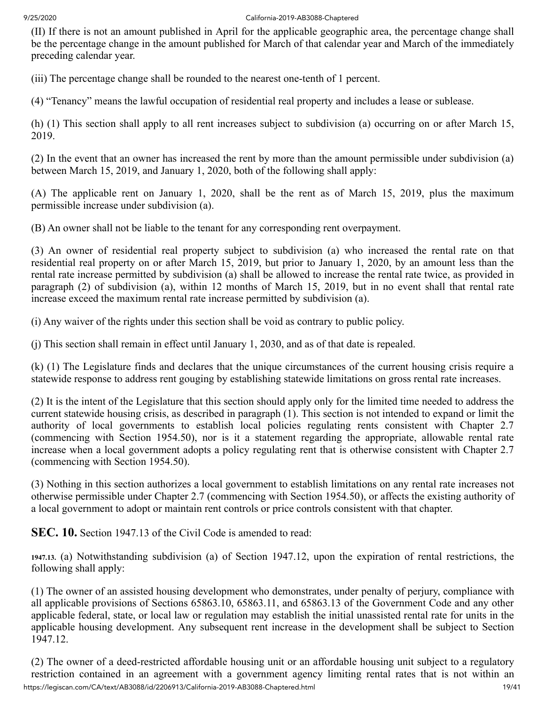(II) If there is not an amount published in April for the applicable geographic area, the percentage change shall be the percentage change in the amount published for March of that calendar year and March of the immediately preceding calendar year.

(iii) The percentage change shall be rounded to the nearest one-tenth of 1 percent.

(4) "Tenancy" means the lawful occupation of residential real property and includes a lease or sublease.

(h) (1) This section shall apply to all rent increases subject to subdivision (a) occurring on or after March 15, 2019.

(2) In the event that an owner has increased the rent by more than the amount permissible under subdivision (a) between March 15, 2019, and January 1, 2020, both of the following shall apply:

(A) The applicable rent on January 1, 2020, shall be the rent as of March 15, 2019, plus the maximum permissible increase under subdivision (a).

(B) An owner shall not be liable to the tenant for any corresponding rent overpayment.

(3) An owner of residential real property subject to subdivision (a) who increased the rental rate on that residential real property on or after March 15, 2019, but prior to January 1, 2020, by an amount less than the rental rate increase permitted by subdivision (a) shall be allowed to increase the rental rate twice, as provided in paragraph (2) of subdivision (a), within 12 months of March 15, 2019, but in no event shall that rental rate increase exceed the maximum rental rate increase permitted by subdivision (a).

(i) Any waiver of the rights under this section shall be void as contrary to public policy.

(j) This section shall remain in effect until January 1, 2030, and as of that date is repealed.

(k) (1) The Legislature finds and declares that the unique circumstances of the current housing crisis require a statewide response to address rent gouging by establishing statewide limitations on gross rental rate increases.

(2) It is the intent of the Legislature that this section should apply only for the limited time needed to address the current statewide housing crisis, as described in paragraph (1). This section is not intended to expand or limit the authority of local governments to establish local policies regulating rents consistent with Chapter 2.7 (commencing with Section 1954.50), nor is it a statement regarding the appropriate, allowable rental rate increase when a local government adopts a policy regulating rent that is otherwise consistent with Chapter 2.7 (commencing with Section 1954.50).

(3) Nothing in this section authorizes a local government to establish limitations on any rental rate increases not otherwise permissible under Chapter 2.7 (commencing with Section 1954.50), or affects the existing authority of a local government to adopt or maintain rent controls or price controls consistent with that chapter.

**SEC. 10.** Section 1947.13 of the Civil Code is amended to read:

**1947.13.** (a) Notwithstanding subdivision (a) of Section 1947.12, upon the expiration of rental restrictions, the following shall apply:

(1) The owner of an assisted housing development who demonstrates, under penalty of perjury, compliance with all applicable provisions of Sections 65863.10, 65863.11, and 65863.13 of the Government Code and any other applicable federal, state, or local law or regulation may establish the initial unassisted rental rate for units in the applicable housing development. Any subsequent rent increase in the development shall be subject to Section 1947.12.

https://legiscan.com/CA/text/AB3088/id/2206913/California-2019-AB3088-Chaptered.html 19/41 (2) The owner of a deed-restricted affordable housing unit or an affordable housing unit subject to a regulatory restriction contained in an agreement with a government agency limiting rental rates that is not within an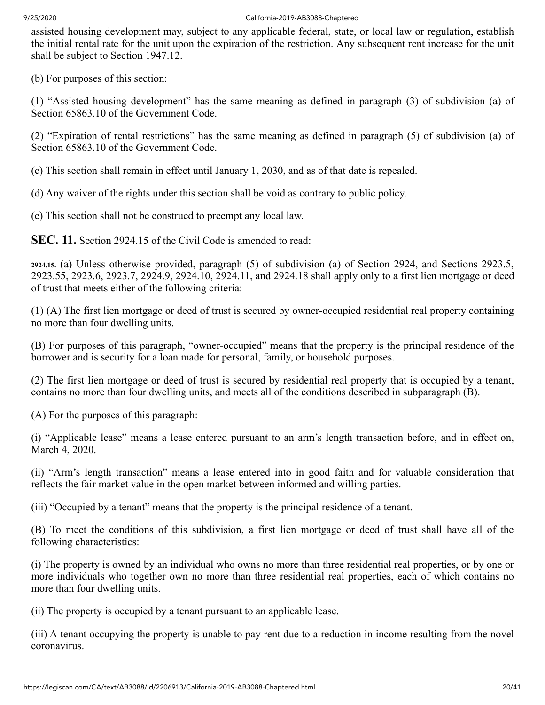assisted housing development may, subject to any applicable federal, state, or local law or regulation, establish the initial rental rate for the unit upon the expiration of the restriction. Any subsequent rent increase for the unit shall be subject to Section 1947.12.

(b) For purposes of this section:

(1) "Assisted housing development" has the same meaning as defined in paragraph (3) of subdivision (a) of Section 65863.10 of the Government Code.

(2) "Expiration of rental restrictions" has the same meaning as defined in paragraph (5) of subdivision (a) of Section 65863.10 of the Government Code.

(c) This section shall remain in effect until January 1, 2030, and as of that date is repealed.

(d) Any waiver of the rights under this section shall be void as contrary to public policy.

(e) This section shall not be construed to preempt any local law.

**SEC. 11.** Section 2924.15 of the Civil Code is amended to read:

**2924.15.** (a) Unless otherwise provided, paragraph (5) of subdivision (a) of Section 2924, and Sections 2923.5, 2923.55, 2923.6, 2923.7, 2924.9, 2924.10, 2924.11, and 2924.18 shall apply only to a first lien mortgage or deed of trust that meets either of the following criteria:

(1) (A) The first lien mortgage or deed of trust is secured by owner-occupied residential real property containing no more than four dwelling units.

(B) For purposes of this paragraph, "owner-occupied" means that the property is the principal residence of the borrower and is security for a loan made for personal, family, or household purposes.

(2) The first lien mortgage or deed of trust is secured by residential real property that is occupied by a tenant, contains no more than four dwelling units, and meets all of the conditions described in subparagraph (B).

(A) For the purposes of this paragraph:

(i) "Applicable lease" means a lease entered pursuant to an arm's length transaction before, and in effect on, March 4, 2020.

(ii) "Arm's length transaction" means a lease entered into in good faith and for valuable consideration that reflects the fair market value in the open market between informed and willing parties.

(iii) "Occupied by a tenant" means that the property is the principal residence of a tenant.

(B) To meet the conditions of this subdivision, a first lien mortgage or deed of trust shall have all of the following characteristics:

(i) The property is owned by an individual who owns no more than three residential real properties, or by one or more individuals who together own no more than three residential real properties, each of which contains no more than four dwelling units.

(ii) The property is occupied by a tenant pursuant to an applicable lease.

(iii) A tenant occupying the property is unable to pay rent due to a reduction in income resulting from the novel coronavirus.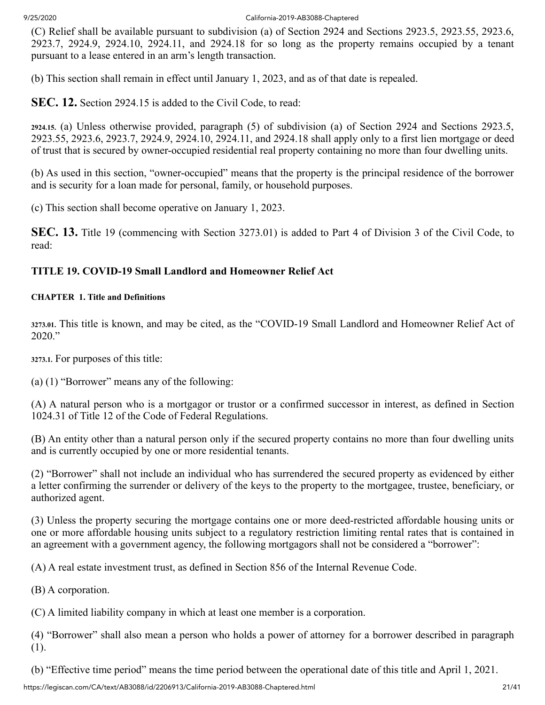(C) Relief shall be available pursuant to subdivision (a) of Section 2924 and Sections 2923.5, 2923.55, 2923.6, 2923.7, 2924.9, 2924.10, 2924.11, and 2924.18 for so long as the property remains occupied by a tenant pursuant to a lease entered in an arm's length transaction.

(b) This section shall remain in effect until January 1, 2023, and as of that date is repealed.

**SEC. 12.** Section 2924.15 is added to the Civil Code, to read:

**2924.15.** (a) Unless otherwise provided, paragraph (5) of subdivision (a) of Section 2924 and Sections 2923.5, 2923.55, 2923.6, 2923.7, 2924.9, 2924.10, 2924.11, and 2924.18 shall apply only to a first lien mortgage or deed of trust that is secured by owner-occupied residential real property containing no more than four dwelling units.

(b) As used in this section, "owner-occupied" means that the property is the principal residence of the borrower and is security for a loan made for personal, family, or household purposes.

(c) This section shall become operative on January 1, 2023.

**SEC. 13.** Title 19 (commencing with Section 3273.01) is added to Part 4 of Division 3 of the Civil Code, to read:

# **TITLE 19. COVID-19 Small Landlord and Homeowner Relief Act**

# **CHAPTER 1. Title and Definitions**

**3273.01.** This title is known, and may be cited, as the "COVID-19 Small Landlord and Homeowner Relief Act of 2020."

**3273.1.** For purposes of this title:

(a) (1) "Borrower" means any of the following:

(A) A natural person who is a mortgagor or trustor or a confirmed successor in interest, as defined in Section 1024.31 of Title 12 of the Code of Federal Regulations.

(B) An entity other than a natural person only if the secured property contains no more than four dwelling units and is currently occupied by one or more residential tenants.

(2) "Borrower" shall not include an individual who has surrendered the secured property as evidenced by either a letter confirming the surrender or delivery of the keys to the property to the mortgagee, trustee, beneficiary, or authorized agent.

(3) Unless the property securing the mortgage contains one or more deed-restricted affordable housing units or one or more affordable housing units subject to a regulatory restriction limiting rental rates that is contained in an agreement with a government agency, the following mortgagors shall not be considered a "borrower":

(A) A real estate investment trust, as defined in Section 856 of the Internal Revenue Code.

(B) A corporation.

(C) A limited liability company in which at least one member is a corporation.

(4) "Borrower" shall also mean a person who holds a power of attorney for a borrower described in paragraph (1).

(b) "Effective time period" means the time period between the operational date of this title and April 1, 2021.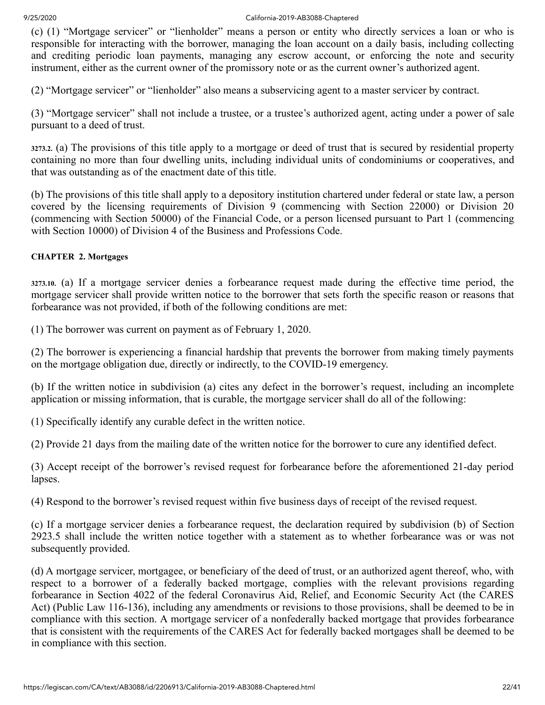(c) (1) "Mortgage servicer" or "lienholder" means a person or entity who directly services a loan or who is responsible for interacting with the borrower, managing the loan account on a daily basis, including collecting and crediting periodic loan payments, managing any escrow account, or enforcing the note and security instrument, either as the current owner of the promissory note or as the current owner's authorized agent.

(2) "Mortgage servicer" or "lienholder" also means a subservicing agent to a master servicer by contract.

(3) "Mortgage servicer" shall not include a trustee, or a trustee's authorized agent, acting under a power of sale pursuant to a deed of trust.

**3273.2.** (a) The provisions of this title apply to a mortgage or deed of trust that is secured by residential property containing no more than four dwelling units, including individual units of condominiums or cooperatives, and that was outstanding as of the enactment date of this title.

(b) The provisions of this title shall apply to a depository institution chartered under federal or state law, a person covered by the licensing requirements of Division 9 (commencing with Section 22000) or Division 20 (commencing with Section 50000) of the Financial Code, or a person licensed pursuant to Part 1 (commencing with Section 10000) of Division 4 of the Business and Professions Code.

# **CHAPTER 2. Mortgages**

**3273.10.** (a) If a mortgage servicer denies a forbearance request made during the effective time period, the mortgage servicer shall provide written notice to the borrower that sets forth the specific reason or reasons that forbearance was not provided, if both of the following conditions are met:

(1) The borrower was current on payment as of February 1, 2020.

(2) The borrower is experiencing a financial hardship that prevents the borrower from making timely payments on the mortgage obligation due, directly or indirectly, to the COVID-19 emergency.

(b) If the written notice in subdivision (a) cites any defect in the borrower's request, including an incomplete application or missing information, that is curable, the mortgage servicer shall do all of the following:

(1) Specifically identify any curable defect in the written notice.

(2) Provide 21 days from the mailing date of the written notice for the borrower to cure any identified defect.

(3) Accept receipt of the borrower's revised request for forbearance before the aforementioned 21-day period lapses.

(4) Respond to the borrower's revised request within five business days of receipt of the revised request.

(c) If a mortgage servicer denies a forbearance request, the declaration required by subdivision (b) of Section 2923.5 shall include the written notice together with a statement as to whether forbearance was or was not subsequently provided.

(d) A mortgage servicer, mortgagee, or beneficiary of the deed of trust, or an authorized agent thereof, who, with respect to a borrower of a federally backed mortgage, complies with the relevant provisions regarding forbearance in Section 4022 of the federal Coronavirus Aid, Relief, and Economic Security Act (the CARES Act) (Public Law 116-136), including any amendments or revisions to those provisions, shall be deemed to be in compliance with this section. A mortgage servicer of a nonfederally backed mortgage that provides forbearance that is consistent with the requirements of the CARES Act for federally backed mortgages shall be deemed to be in compliance with this section.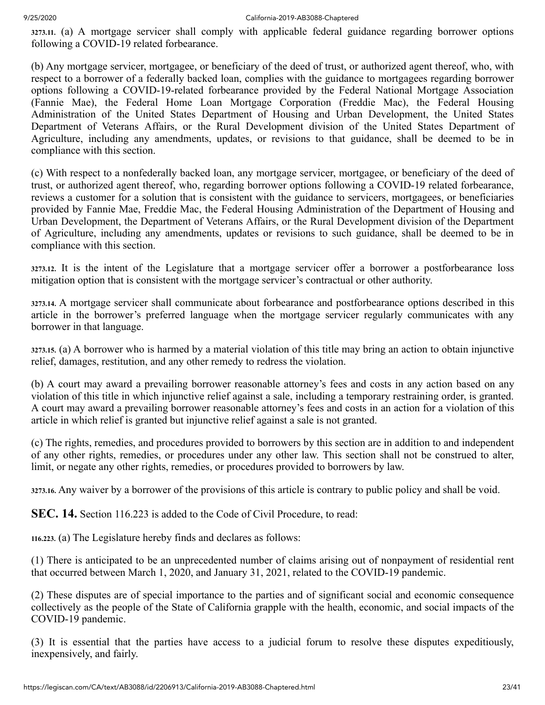**3273.11.** (a) A mortgage servicer shall comply with applicable federal guidance regarding borrower options following a COVID-19 related forbearance.

(b) Any mortgage servicer, mortgagee, or beneficiary of the deed of trust, or authorized agent thereof, who, with respect to a borrower of a federally backed loan, complies with the guidance to mortgagees regarding borrower options following a COVID-19-related forbearance provided by the Federal National Mortgage Association (Fannie Mae), the Federal Home Loan Mortgage Corporation (Freddie Mac), the Federal Housing Administration of the United States Department of Housing and Urban Development, the United States Department of Veterans Affairs, or the Rural Development division of the United States Department of Agriculture, including any amendments, updates, or revisions to that guidance, shall be deemed to be in compliance with this section.

(c) With respect to a nonfederally backed loan, any mortgage servicer, mortgagee, or beneficiary of the deed of trust, or authorized agent thereof, who, regarding borrower options following a COVID-19 related forbearance, reviews a customer for a solution that is consistent with the guidance to servicers, mortgagees, or beneficiaries provided by Fannie Mae, Freddie Mac, the Federal Housing Administration of the Department of Housing and Urban Development, the Department of Veterans Affairs, or the Rural Development division of the Department of Agriculture, including any amendments, updates or revisions to such guidance, shall be deemed to be in compliance with this section.

**3273.12.** It is the intent of the Legislature that a mortgage servicer offer a borrower a postforbearance loss mitigation option that is consistent with the mortgage servicer's contractual or other authority.

**3273.14.** A mortgage servicer shall communicate about forbearance and postforbearance options described in this article in the borrower's preferred language when the mortgage servicer regularly communicates with any borrower in that language.

**3273.15.** (a) A borrower who is harmed by a material violation of this title may bring an action to obtain injunctive relief, damages, restitution, and any other remedy to redress the violation.

(b) A court may award a prevailing borrower reasonable attorney's fees and costs in any action based on any violation of this title in which injunctive relief against a sale, including a temporary restraining order, is granted. A court may award a prevailing borrower reasonable attorney's fees and costs in an action for a violation of this article in which relief is granted but injunctive relief against a sale is not granted.

(c) The rights, remedies, and procedures provided to borrowers by this section are in addition to and independent of any other rights, remedies, or procedures under any other law. This section shall not be construed to alter, limit, or negate any other rights, remedies, or procedures provided to borrowers by law.

**3273.16.** Any waiver by a borrower of the provisions of this article is contrary to public policy and shall be void.

**SEC. 14.** Section 116.223 is added to the Code of Civil Procedure, to read:

**116.223.** (a) The Legislature hereby finds and declares as follows:

(1) There is anticipated to be an unprecedented number of claims arising out of nonpayment of residential rent that occurred between March 1, 2020, and January 31, 2021, related to the COVID-19 pandemic.

(2) These disputes are of special importance to the parties and of significant social and economic consequence collectively as the people of the State of California grapple with the health, economic, and social impacts of the COVID-19 pandemic.

(3) It is essential that the parties have access to a judicial forum to resolve these disputes expeditiously, inexpensively, and fairly.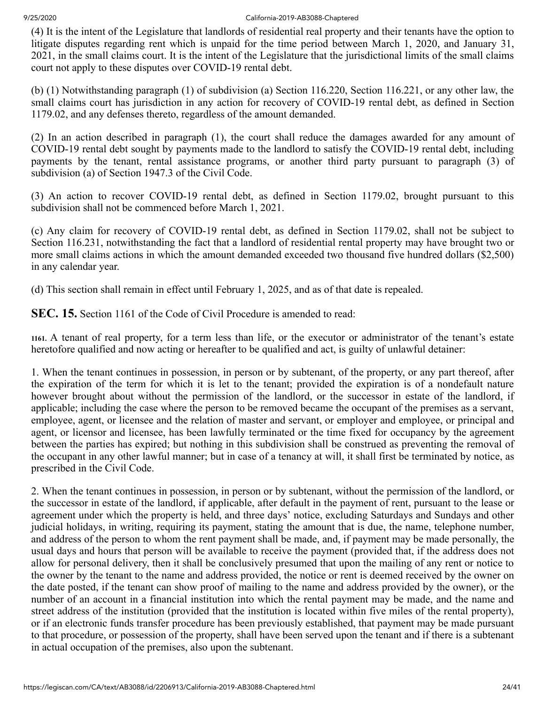(4) It is the intent of the Legislature that landlords of residential real property and their tenants have the option to litigate disputes regarding rent which is unpaid for the time period between March 1, 2020, and January 31, 2021, in the small claims court. It is the intent of the Legislature that the jurisdictional limits of the small claims court not apply to these disputes over COVID-19 rental debt.

(b) (1) Notwithstanding paragraph (1) of subdivision (a) Section 116.220, Section 116.221, or any other law, the small claims court has jurisdiction in any action for recovery of COVID-19 rental debt, as defined in Section 1179.02, and any defenses thereto, regardless of the amount demanded.

(2) In an action described in paragraph (1), the court shall reduce the damages awarded for any amount of COVID-19 rental debt sought by payments made to the landlord to satisfy the COVID-19 rental debt, including payments by the tenant, rental assistance programs, or another third party pursuant to paragraph (3) of subdivision (a) of Section 1947.3 of the Civil Code.

(3) An action to recover COVID-19 rental debt, as defined in Section 1179.02, brought pursuant to this subdivision shall not be commenced before March 1, 2021.

(c) Any claim for recovery of COVID-19 rental debt, as defined in Section 1179.02, shall not be subject to Section 116.231, notwithstanding the fact that a landlord of residential rental property may have brought two or more small claims actions in which the amount demanded exceeded two thousand five hundred dollars (\$2,500) in any calendar year.

(d) This section shall remain in effect until February 1, 2025, and as of that date is repealed.

**SEC. 15.** Section 1161 of the Code of Civil Procedure is amended to read:

**1161.** A tenant of real property, for a term less than life, or the executor or administrator of the tenant's estate heretofore qualified and now acting or hereafter to be qualified and act, is guilty of unlawful detainer:

1. When the tenant continues in possession, in person or by subtenant, of the property, or any part thereof, after the expiration of the term for which it is let to the tenant; provided the expiration is of a nondefault nature however brought about without the permission of the landlord, or the successor in estate of the landlord, if applicable; including the case where the person to be removed became the occupant of the premises as a servant, employee, agent, or licensee and the relation of master and servant, or employer and employee, or principal and agent, or licensor and licensee, has been lawfully terminated or the time fixed for occupancy by the agreement between the parties has expired; but nothing in this subdivision shall be construed as preventing the removal of the occupant in any other lawful manner; but in case of a tenancy at will, it shall first be terminated by notice, as prescribed in the Civil Code.

2. When the tenant continues in possession, in person or by subtenant, without the permission of the landlord, or the successor in estate of the landlord, if applicable, after default in the payment of rent, pursuant to the lease or agreement under which the property is held, and three days' notice, excluding Saturdays and Sundays and other judicial holidays, in writing, requiring its payment, stating the amount that is due, the name, telephone number, and address of the person to whom the rent payment shall be made, and, if payment may be made personally, the usual days and hours that person will be available to receive the payment (provided that, if the address does not allow for personal delivery, then it shall be conclusively presumed that upon the mailing of any rent or notice to the owner by the tenant to the name and address provided, the notice or rent is deemed received by the owner on the date posted, if the tenant can show proof of mailing to the name and address provided by the owner), or the number of an account in a financial institution into which the rental payment may be made, and the name and street address of the institution (provided that the institution is located within five miles of the rental property), or if an electronic funds transfer procedure has been previously established, that payment may be made pursuant to that procedure, or possession of the property, shall have been served upon the tenant and if there is a subtenant in actual occupation of the premises, also upon the subtenant.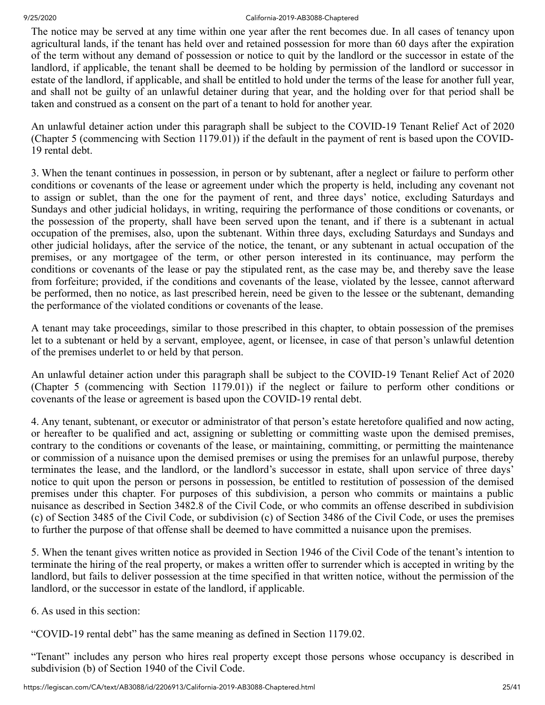The notice may be served at any time within one year after the rent becomes due. In all cases of tenancy upon agricultural lands, if the tenant has held over and retained possession for more than 60 days after the expiration of the term without any demand of possession or notice to quit by the landlord or the successor in estate of the landlord, if applicable, the tenant shall be deemed to be holding by permission of the landlord or successor in estate of the landlord, if applicable, and shall be entitled to hold under the terms of the lease for another full year, and shall not be guilty of an unlawful detainer during that year, and the holding over for that period shall be taken and construed as a consent on the part of a tenant to hold for another year.

An unlawful detainer action under this paragraph shall be subject to the COVID-19 Tenant Relief Act of 2020 (Chapter 5 (commencing with Section 1179.01)) if the default in the payment of rent is based upon the COVID-19 rental debt.

3. When the tenant continues in possession, in person or by subtenant, after a neglect or failure to perform other conditions or covenants of the lease or agreement under which the property is held, including any covenant not to assign or sublet, than the one for the payment of rent, and three days' notice, excluding Saturdays and Sundays and other judicial holidays, in writing, requiring the performance of those conditions or covenants, or the possession of the property, shall have been served upon the tenant, and if there is a subtenant in actual occupation of the premises, also, upon the subtenant. Within three days, excluding Saturdays and Sundays and other judicial holidays, after the service of the notice, the tenant, or any subtenant in actual occupation of the premises, or any mortgagee of the term, or other person interested in its continuance, may perform the conditions or covenants of the lease or pay the stipulated rent, as the case may be, and thereby save the lease from forfeiture; provided, if the conditions and covenants of the lease, violated by the lessee, cannot afterward be performed, then no notice, as last prescribed herein, need be given to the lessee or the subtenant, demanding the performance of the violated conditions or covenants of the lease.

A tenant may take proceedings, similar to those prescribed in this chapter, to obtain possession of the premises let to a subtenant or held by a servant, employee, agent, or licensee, in case of that person's unlawful detention of the premises underlet to or held by that person.

An unlawful detainer action under this paragraph shall be subject to the COVID-19 Tenant Relief Act of 2020 (Chapter 5 (commencing with Section 1179.01)) if the neglect or failure to perform other conditions or covenants of the lease or agreement is based upon the COVID-19 rental debt.

4. Any tenant, subtenant, or executor or administrator of that person's estate heretofore qualified and now acting, or hereafter to be qualified and act, assigning or subletting or committing waste upon the demised premises, contrary to the conditions or covenants of the lease, or maintaining, committing, or permitting the maintenance or commission of a nuisance upon the demised premises or using the premises for an unlawful purpose, thereby terminates the lease, and the landlord, or the landlord's successor in estate, shall upon service of three days' notice to quit upon the person or persons in possession, be entitled to restitution of possession of the demised premises under this chapter. For purposes of this subdivision, a person who commits or maintains a public nuisance as described in Section 3482.8 of the Civil Code, or who commits an offense described in subdivision (c) of Section 3485 of the Civil Code, or subdivision (c) of Section 3486 of the Civil Code, or uses the premises to further the purpose of that offense shall be deemed to have committed a nuisance upon the premises.

5. When the tenant gives written notice as provided in Section 1946 of the Civil Code of the tenant's intention to terminate the hiring of the real property, or makes a written offer to surrender which is accepted in writing by the landlord, but fails to deliver possession at the time specified in that written notice, without the permission of the landlord, or the successor in estate of the landlord, if applicable.

6. As used in this section:

"COVID-19 rental debt" has the same meaning as defined in Section 1179.02.

"Tenant" includes any person who hires real property except those persons whose occupancy is described in subdivision (b) of Section 1940 of the Civil Code.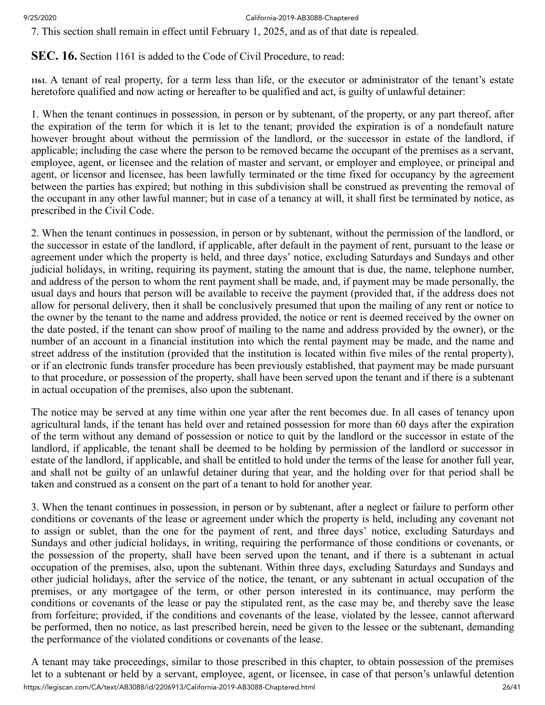7. This section shall remain in effect until February 1, 2025, and as of that date is repealed.

**SEC. 16.** Section 1161 is added to the Code of Civil Procedure, to read:

**1161.** A tenant of real property, for a term less than life, or the executor or administrator of the tenant's estate heretofore qualified and now acting or hereafter to be qualified and act, is guilty of unlawful detainer:

1. When the tenant continues in possession, in person or by subtenant, of the property, or any part thereof, after the expiration of the term for which it is let to the tenant; provided the expiration is of a nondefault nature however brought about without the permission of the landlord, or the successor in estate of the landlord, if applicable; including the case where the person to be removed became the occupant of the premises as a servant, employee, agent, or licensee and the relation of master and servant, or employer and employee, or principal and agent, or licensor and licensee, has been lawfully terminated or the time fixed for occupancy by the agreement between the parties has expired; but nothing in this subdivision shall be construed as preventing the removal of the occupant in any other lawful manner; but in case of a tenancy at will, it shall first be terminated by notice, as prescribed in the Civil Code.

2. When the tenant continues in possession, in person or by subtenant, without the permission of the landlord, or the successor in estate of the landlord, if applicable, after default in the payment of rent, pursuant to the lease or agreement under which the property is held, and three days' notice, excluding Saturdays and Sundays and other judicial holidays, in writing, requiring its payment, stating the amount that is due, the name, telephone number, and address of the person to whom the rent payment shall be made, and, if payment may be made personally, the usual days and hours that person will be available to receive the payment (provided that, if the address does not allow for personal delivery, then it shall be conclusively presumed that upon the mailing of any rent or notice to the owner by the tenant to the name and address provided, the notice or rent is deemed received by the owner on the date posted, if the tenant can show proof of mailing to the name and address provided by the owner), or the number of an account in a financial institution into which the rental payment may be made, and the name and street address of the institution (provided that the institution is located within five miles of the rental property), or if an electronic funds transfer procedure has been previously established, that payment may be made pursuant to that procedure, or possession of the property, shall have been served upon the tenant and if there is a subtenant in actual occupation of the premises, also upon the subtenant.

The notice may be served at any time within one year after the rent becomes due. In all cases of tenancy upon agricultural lands, if the tenant has held over and retained possession for more than 60 days after the expiration of the term without any demand of possession or notice to quit by the landlord or the successor in estate of the landlord, if applicable, the tenant shall be deemed to be holding by permission of the landlord or successor in estate of the landlord, if applicable, and shall be entitled to hold under the terms of the lease for another full year, and shall not be guilty of an unlawful detainer during that year, and the holding over for that period shall be taken and construed as a consent on the part of a tenant to hold for another year.

3. When the tenant continues in possession, in person or by subtenant, after a neglect or failure to perform other conditions or covenants of the lease or agreement under which the property is held, including any covenant not to assign or sublet, than the one for the payment of rent, and three days' notice, excluding Saturdays and Sundays and other judicial holidays, in writing, requiring the performance of those conditions or covenants, or the possession of the property, shall have been served upon the tenant, and if there is a subtenant in actual occupation of the premises, also, upon the subtenant. Within three days, excluding Saturdays and Sundays and other judicial holidays, after the service of the notice, the tenant, or any subtenant in actual occupation of the premises, or any mortgagee of the term, or other person interested in its continuance, may perform the conditions or covenants of the lease or pay the stipulated rent, as the case may be, and thereby save the lease from forfeiture; provided, if the conditions and covenants of the lease, violated by the lessee, cannot afterward be performed, then no notice, as last prescribed herein, need be given to the lessee or the subtenant, demanding the performance of the violated conditions or covenants of the lease.

https://legiscan.com/CA/text/AB3088/id/2206913/California-2019-AB3088-Chaptered.html 26/41 A tenant may take proceedings, similar to those prescribed in this chapter, to obtain possession of the premises let to a subtenant or held by a servant, employee, agent, or licensee, in case of that person's unlawful detention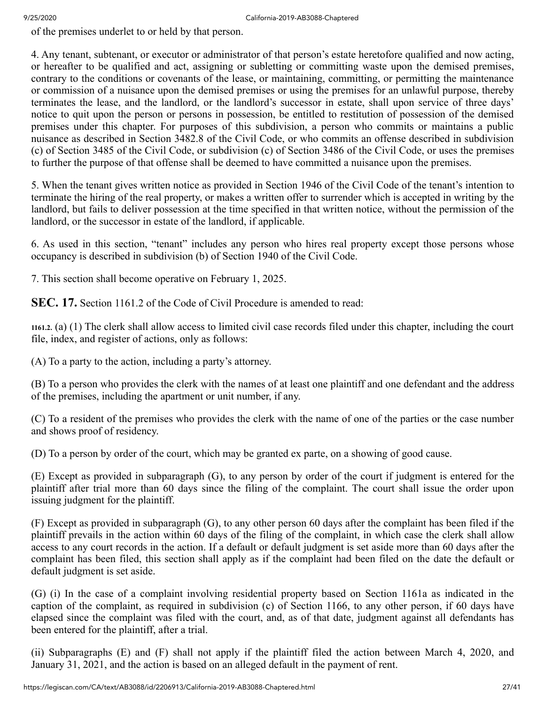of the premises underlet to or held by that person.

4. Any tenant, subtenant, or executor or administrator of that person's estate heretofore qualified and now acting, or hereafter to be qualified and act, assigning or subletting or committing waste upon the demised premises, contrary to the conditions or covenants of the lease, or maintaining, committing, or permitting the maintenance or commission of a nuisance upon the demised premises or using the premises for an unlawful purpose, thereby terminates the lease, and the landlord, or the landlord's successor in estate, shall upon service of three days' notice to quit upon the person or persons in possession, be entitled to restitution of possession of the demised premises under this chapter. For purposes of this subdivision, a person who commits or maintains a public nuisance as described in Section 3482.8 of the Civil Code, or who commits an offense described in subdivision (c) of Section 3485 of the Civil Code, or subdivision (c) of Section 3486 of the Civil Code, or uses the premises to further the purpose of that offense shall be deemed to have committed a nuisance upon the premises.

5. When the tenant gives written notice as provided in Section 1946 of the Civil Code of the tenant's intention to terminate the hiring of the real property, or makes a written offer to surrender which is accepted in writing by the landlord, but fails to deliver possession at the time specified in that written notice, without the permission of the landlord, or the successor in estate of the landlord, if applicable.

6. As used in this section, "tenant" includes any person who hires real property except those persons whose occupancy is described in subdivision (b) of Section 1940 of the Civil Code.

7. This section shall become operative on February 1, 2025.

**SEC. 17.** Section 1161.2 of the Code of Civil Procedure is amended to read:

**1161.2.** (a) (1) The clerk shall allow access to limited civil case records filed under this chapter, including the court file, index, and register of actions, only as follows:

(A) To a party to the action, including a party's attorney.

(B) To a person who provides the clerk with the names of at least one plaintiff and one defendant and the address of the premises, including the apartment or unit number, if any.

(C) To a resident of the premises who provides the clerk with the name of one of the parties or the case number and shows proof of residency.

(D) To a person by order of the court, which may be granted ex parte, on a showing of good cause.

(E) Except as provided in subparagraph (G), to any person by order of the court if judgment is entered for the plaintiff after trial more than 60 days since the filing of the complaint. The court shall issue the order upon issuing judgment for the plaintiff.

(F) Except as provided in subparagraph (G), to any other person 60 days after the complaint has been filed if the plaintiff prevails in the action within 60 days of the filing of the complaint, in which case the clerk shall allow access to any court records in the action. If a default or default judgment is set aside more than 60 days after the complaint has been filed, this section shall apply as if the complaint had been filed on the date the default or default judgment is set aside.

(G) (i) In the case of a complaint involving residential property based on Section 1161a as indicated in the caption of the complaint, as required in subdivision (c) of Section 1166, to any other person, if 60 days have elapsed since the complaint was filed with the court, and, as of that date, judgment against all defendants has been entered for the plaintiff, after a trial.

(ii) Subparagraphs (E) and (F) shall not apply if the plaintiff filed the action between March 4, 2020, and January 31, 2021, and the action is based on an alleged default in the payment of rent.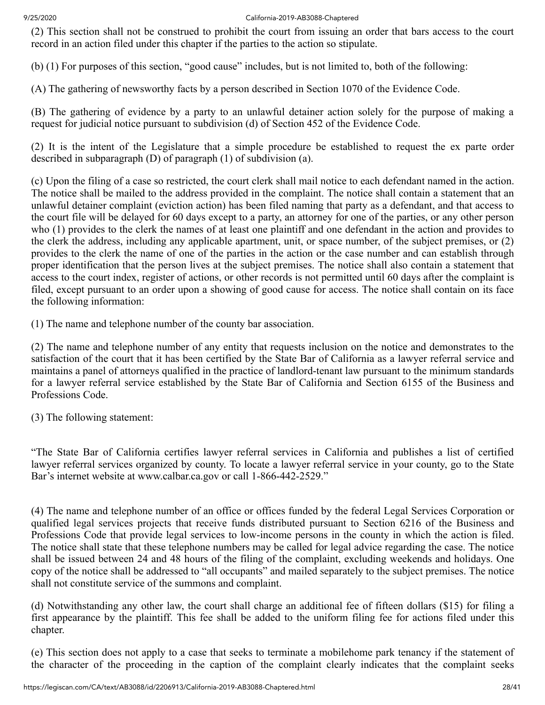(2) This section shall not be construed to prohibit the court from issuing an order that bars access to the court record in an action filed under this chapter if the parties to the action so stipulate.

(b) (1) For purposes of this section, "good cause" includes, but is not limited to, both of the following:

(A) The gathering of newsworthy facts by a person described in Section 1070 of the Evidence Code.

(B) The gathering of evidence by a party to an unlawful detainer action solely for the purpose of making a request for judicial notice pursuant to subdivision (d) of Section 452 of the Evidence Code.

(2) It is the intent of the Legislature that a simple procedure be established to request the ex parte order described in subparagraph (D) of paragraph (1) of subdivision (a).

(c) Upon the filing of a case so restricted, the court clerk shall mail notice to each defendant named in the action. The notice shall be mailed to the address provided in the complaint. The notice shall contain a statement that an unlawful detainer complaint (eviction action) has been filed naming that party as a defendant, and that access to the court file will be delayed for 60 days except to a party, an attorney for one of the parties, or any other person who (1) provides to the clerk the names of at least one plaintiff and one defendant in the action and provides to the clerk the address, including any applicable apartment, unit, or space number, of the subject premises, or (2) provides to the clerk the name of one of the parties in the action or the case number and can establish through proper identification that the person lives at the subject premises. The notice shall also contain a statement that access to the court index, register of actions, or other records is not permitted until 60 days after the complaint is filed, except pursuant to an order upon a showing of good cause for access. The notice shall contain on its face the following information:

(1) The name and telephone number of the county bar association.

(2) The name and telephone number of any entity that requests inclusion on the notice and demonstrates to the satisfaction of the court that it has been certified by the State Bar of California as a lawyer referral service and maintains a panel of attorneys qualified in the practice of landlord-tenant law pursuant to the minimum standards for a lawyer referral service established by the State Bar of California and Section 6155 of the Business and Professions Code.

(3) The following statement:

"The State Bar of California certifies lawyer referral services in California and publishes a list of certified lawyer referral services organized by county. To locate a lawyer referral service in your county, go to the State Bar's internet website at www.calbar.ca.gov or call 1-866-442-2529."

(4) The name and telephone number of an office or offices funded by the federal Legal Services Corporation or qualified legal services projects that receive funds distributed pursuant to Section 6216 of the Business and Professions Code that provide legal services to low-income persons in the county in which the action is filed. The notice shall state that these telephone numbers may be called for legal advice regarding the case. The notice shall be issued between 24 and 48 hours of the filing of the complaint, excluding weekends and holidays. One copy of the notice shall be addressed to "all occupants" and mailed separately to the subject premises. The notice shall not constitute service of the summons and complaint.

(d) Notwithstanding any other law, the court shall charge an additional fee of fifteen dollars (\$15) for filing a first appearance by the plaintiff. This fee shall be added to the uniform filing fee for actions filed under this chapter.

(e) This section does not apply to a case that seeks to terminate a mobilehome park tenancy if the statement of the character of the proceeding in the caption of the complaint clearly indicates that the complaint seeks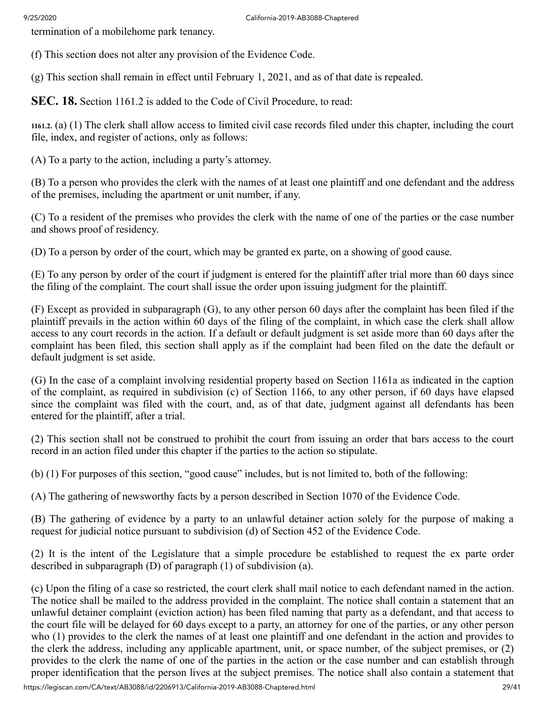termination of a mobilehome park tenancy.

(f) This section does not alter any provision of the Evidence Code.

(g) This section shall remain in effect until February 1, 2021, and as of that date is repealed.

**SEC. 18.** Section 1161.2 is added to the Code of Civil Procedure, to read:

**1161.2.** (a) (1) The clerk shall allow access to limited civil case records filed under this chapter, including the court file, index, and register of actions, only as follows:

(A) To a party to the action, including a party's attorney.

(B) To a person who provides the clerk with the names of at least one plaintiff and one defendant and the address of the premises, including the apartment or unit number, if any.

(C) To a resident of the premises who provides the clerk with the name of one of the parties or the case number and shows proof of residency.

(D) To a person by order of the court, which may be granted ex parte, on a showing of good cause.

(E) To any person by order of the court if judgment is entered for the plaintiff after trial more than 60 days since the filing of the complaint. The court shall issue the order upon issuing judgment for the plaintiff.

(F) Except as provided in subparagraph (G), to any other person 60 days after the complaint has been filed if the plaintiff prevails in the action within 60 days of the filing of the complaint, in which case the clerk shall allow access to any court records in the action. If a default or default judgment is set aside more than 60 days after the complaint has been filed, this section shall apply as if the complaint had been filed on the date the default or default judgment is set aside.

(G) In the case of a complaint involving residential property based on Section 1161a as indicated in the caption of the complaint, as required in subdivision (c) of Section 1166, to any other person, if 60 days have elapsed since the complaint was filed with the court, and, as of that date, judgment against all defendants has been entered for the plaintiff, after a trial.

(2) This section shall not be construed to prohibit the court from issuing an order that bars access to the court record in an action filed under this chapter if the parties to the action so stipulate.

(b) (1) For purposes of this section, "good cause" includes, but is not limited to, both of the following:

(A) The gathering of newsworthy facts by a person described in Section 1070 of the Evidence Code.

(B) The gathering of evidence by a party to an unlawful detainer action solely for the purpose of making a request for judicial notice pursuant to subdivision (d) of Section 452 of the Evidence Code.

(2) It is the intent of the Legislature that a simple procedure be established to request the ex parte order described in subparagraph (D) of paragraph (1) of subdivision (a).

(c) Upon the filing of a case so restricted, the court clerk shall mail notice to each defendant named in the action. The notice shall be mailed to the address provided in the complaint. The notice shall contain a statement that an unlawful detainer complaint (eviction action) has been filed naming that party as a defendant, and that access to the court file will be delayed for 60 days except to a party, an attorney for one of the parties, or any other person who (1) provides to the clerk the names of at least one plaintiff and one defendant in the action and provides to the clerk the address, including any applicable apartment, unit, or space number, of the subject premises, or (2) provides to the clerk the name of one of the parties in the action or the case number and can establish through proper identification that the person lives at the subject premises. The notice shall also contain a statement that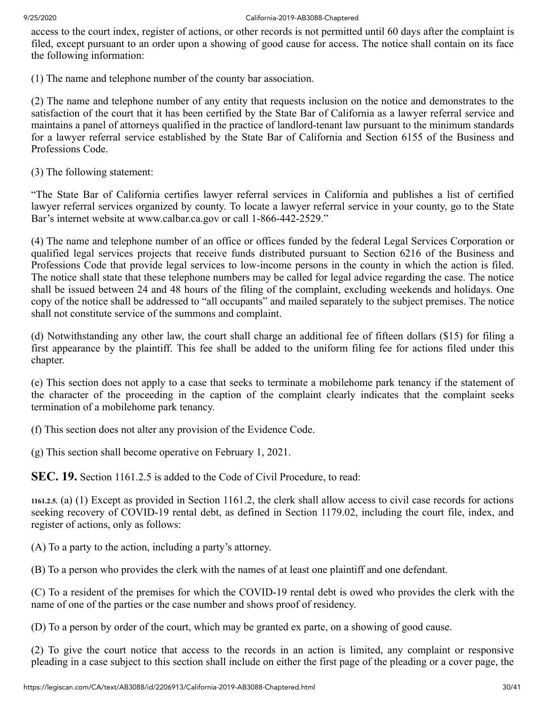access to the court index, register of actions, or other records is not permitted until 60 days after the complaint is filed, except pursuant to an order upon a showing of good cause for access. The notice shall contain on its face the following information:

(1) The name and telephone number of the county bar association.

(2) The name and telephone number of any entity that requests inclusion on the notice and demonstrates to the satisfaction of the court that it has been certified by the State Bar of California as a lawyer referral service and maintains a panel of attorneys qualified in the practice of landlord-tenant law pursuant to the minimum standards for a lawyer referral service established by the State Bar of California and Section 6155 of the Business and Professions Code.

(3) The following statement:

"The State Bar of California certifies lawyer referral services in California and publishes a list of certified lawyer referral services organized by county. To locate a lawyer referral service in your county, go to the State Bar's internet website at www.calbar.ca.gov or call 1-866-442-2529."

(4) The name and telephone number of an office or offices funded by the federal Legal Services Corporation or qualified legal services projects that receive funds distributed pursuant to Section 6216 of the Business and Professions Code that provide legal services to low-income persons in the county in which the action is filed. The notice shall state that these telephone numbers may be called for legal advice regarding the case. The notice shall be issued between 24 and 48 hours of the filing of the complaint, excluding weekends and holidays. One copy of the notice shall be addressed to "all occupants" and mailed separately to the subject premises. The notice shall not constitute service of the summons and complaint.

(d) Notwithstanding any other law, the court shall charge an additional fee of fifteen dollars (\$15) for filing a first appearance by the plaintiff. This fee shall be added to the uniform filing fee for actions filed under this chapter.

(e) This section does not apply to a case that seeks to terminate a mobilehome park tenancy if the statement of the character of the proceeding in the caption of the complaint clearly indicates that the complaint seeks termination of a mobilehome park tenancy.

(f) This section does not alter any provision of the Evidence Code.

(g) This section shall become operative on February 1, 2021.

**SEC. 19.** Section 1161.2.5 is added to the Code of Civil Procedure, to read:

**1161.2.5.** (a) (1) Except as provided in Section 1161.2, the clerk shall allow access to civil case records for actions seeking recovery of COVID-19 rental debt, as defined in Section 1179.02, including the court file, index, and register of actions, only as follows:

(A) To a party to the action, including a party's attorney.

(B) To a person who provides the clerk with the names of at least one plaintiff and one defendant.

(C) To a resident of the premises for which the COVID-19 rental debt is owed who provides the clerk with the name of one of the parties or the case number and shows proof of residency.

(D) To a person by order of the court, which may be granted ex parte, on a showing of good cause.

(2) To give the court notice that access to the records in an action is limited, any complaint or responsive pleading in a case subject to this section shall include on either the first page of the pleading or a cover page, the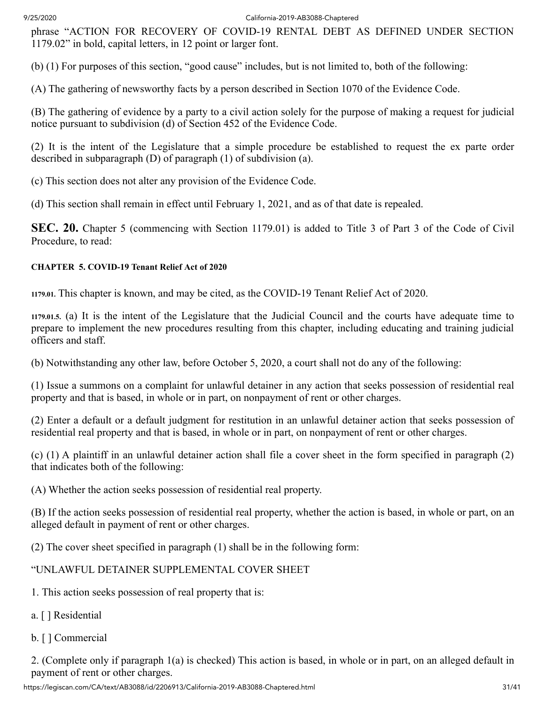phrase "ACTION FOR RECOVERY OF COVID-19 RENTAL DEBT AS DEFINED UNDER SECTION 1179.02" in bold, capital letters, in 12 point or larger font.

(b) (1) For purposes of this section, "good cause" includes, but is not limited to, both of the following:

(A) The gathering of newsworthy facts by a person described in Section 1070 of the Evidence Code.

(B) The gathering of evidence by a party to a civil action solely for the purpose of making a request for judicial notice pursuant to subdivision (d) of Section 452 of the Evidence Code.

(2) It is the intent of the Legislature that a simple procedure be established to request the ex parte order described in subparagraph (D) of paragraph (1) of subdivision (a).

(c) This section does not alter any provision of the Evidence Code.

(d) This section shall remain in effect until February 1, 2021, and as of that date is repealed.

**SEC. 20.** Chapter 5 (commencing with Section 1179.01) is added to Title 3 of Part 3 of the Code of Civil Procedure, to read:

# **CHAPTER 5. COVID-19 Tenant Relief Act of 2020**

**1179.01.** This chapter is known, and may be cited, as the COVID-19 Tenant Relief Act of 2020.

**1179.01.5.** (a) It is the intent of the Legislature that the Judicial Council and the courts have adequate time to prepare to implement the new procedures resulting from this chapter, including educating and training judicial officers and staff.

(b) Notwithstanding any other law, before October 5, 2020, a court shall not do any of the following:

(1) Issue a summons on a complaint for unlawful detainer in any action that seeks possession of residential real property and that is based, in whole or in part, on nonpayment of rent or other charges.

(2) Enter a default or a default judgment for restitution in an unlawful detainer action that seeks possession of residential real property and that is based, in whole or in part, on nonpayment of rent or other charges.

(c) (1) A plaintiff in an unlawful detainer action shall file a cover sheet in the form specified in paragraph (2) that indicates both of the following:

(A) Whether the action seeks possession of residential real property.

(B) If the action seeks possession of residential real property, whether the action is based, in whole or part, on an alleged default in payment of rent or other charges.

(2) The cover sheet specified in paragraph (1) shall be in the following form:

# "UNLAWFUL DETAINER SUPPLEMENTAL COVER SHEET

1. This action seeks possession of real property that is:

- a. [ ] Residential
- b. [ ] Commercial

2. (Complete only if paragraph 1(a) is checked) This action is based, in whole or in part, on an alleged default in payment of rent or other charges.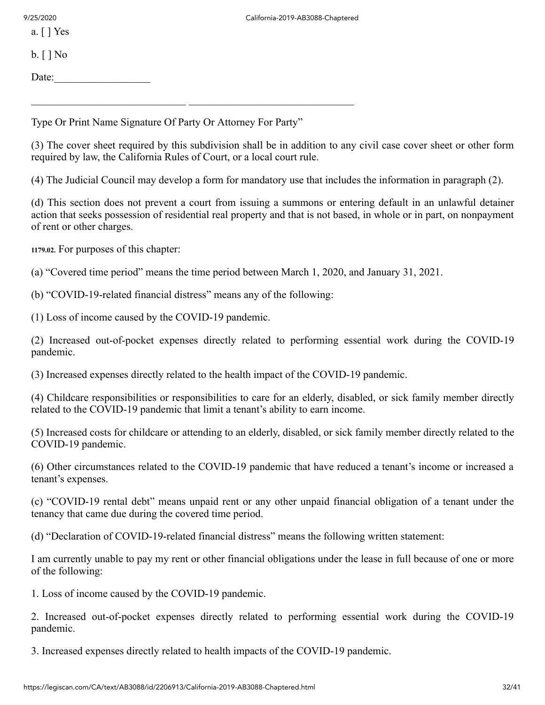a. [ ] Yes

b. [ ] No

Date:

Type Or Print Name Signature Of Party Or Attorney For Party"

\_\_\_\_\_\_\_\_\_\_\_\_\_\_\_\_\_\_\_\_\_\_\_\_\_\_\_\_\_ \_\_\_\_\_\_\_\_\_\_\_\_\_\_\_\_\_\_\_\_\_\_\_\_\_\_\_\_\_\_\_

(3) The cover sheet required by this subdivision shall be in addition to any civil case cover sheet or other form required by law, the California Rules of Court, or a local court rule.

(4) The Judicial Council may develop a form for mandatory use that includes the information in paragraph (2).

(d) This section does not prevent a court from issuing a summons or entering default in an unlawful detainer action that seeks possession of residential real property and that is not based, in whole or in part, on nonpayment of rent or other charges.

**1179.02.** For purposes of this chapter:

(a) "Covered time period" means the time period between March 1, 2020, and January 31, 2021.

(b) "COVID-19-related financial distress" means any of the following:

(1) Loss of income caused by the COVID-19 pandemic.

(2) Increased out-of-pocket expenses directly related to performing essential work during the COVID-19 pandemic.

(3) Increased expenses directly related to the health impact of the COVID-19 pandemic.

(4) Childcare responsibilities or responsibilities to care for an elderly, disabled, or sick family member directly related to the COVID-19 pandemic that limit a tenant's ability to earn income.

(5) Increased costs for childcare or attending to an elderly, disabled, or sick family member directly related to the COVID-19 pandemic.

(6) Other circumstances related to the COVID-19 pandemic that have reduced a tenant's income or increased a tenant's expenses.

(c) "COVID-19 rental debt" means unpaid rent or any other unpaid financial obligation of a tenant under the tenancy that came due during the covered time period.

(d) "Declaration of COVID-19-related financial distress" means the following written statement:

I am currently unable to pay my rent or other financial obligations under the lease in full because of one or more of the following:

1. Loss of income caused by the COVID-19 pandemic.

2. Increased out-of-pocket expenses directly related to performing essential work during the COVID-19 pandemic.

3. Increased expenses directly related to health impacts of the COVID-19 pandemic.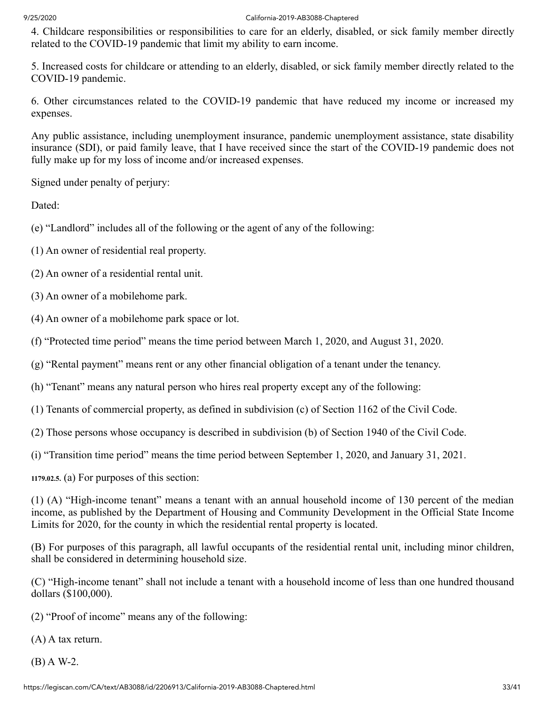4. Childcare responsibilities or responsibilities to care for an elderly, disabled, or sick family member directly related to the COVID-19 pandemic that limit my ability to earn income.

5. Increased costs for childcare or attending to an elderly, disabled, or sick family member directly related to the COVID-19 pandemic.

6. Other circumstances related to the COVID-19 pandemic that have reduced my income or increased my expenses.

Any public assistance, including unemployment insurance, pandemic unemployment assistance, state disability insurance (SDI), or paid family leave, that I have received since the start of the COVID-19 pandemic does not fully make up for my loss of income and/or increased expenses.

Signed under penalty of perjury:

Dated:

(e) "Landlord" includes all of the following or the agent of any of the following:

(1) An owner of residential real property.

- (2) An owner of a residential rental unit.
- (3) An owner of a mobilehome park.
- (4) An owner of a mobilehome park space or lot.
- (f) "Protected time period" means the time period between March 1, 2020, and August 31, 2020.
- (g) "Rental payment" means rent or any other financial obligation of a tenant under the tenancy.

(h) "Tenant" means any natural person who hires real property except any of the following:

(1) Tenants of commercial property, as defined in subdivision (c) of Section 1162 of the Civil Code.

- (2) Those persons whose occupancy is described in subdivision (b) of Section 1940 of the Civil Code.
- (i) "Transition time period" means the time period between September 1, 2020, and January 31, 2021.

**1179.02.5.** (a) For purposes of this section:

(1) (A) "High-income tenant" means a tenant with an annual household income of 130 percent of the median income, as published by the Department of Housing and Community Development in the Official State Income Limits for 2020, for the county in which the residential rental property is located.

(B) For purposes of this paragraph, all lawful occupants of the residential rental unit, including minor children, shall be considered in determining household size.

(C) "High-income tenant" shall not include a tenant with a household income of less than one hundred thousand dollars (\$100,000).

(2) "Proof of income" means any of the following:

(A) A tax return.

(B) A W-2.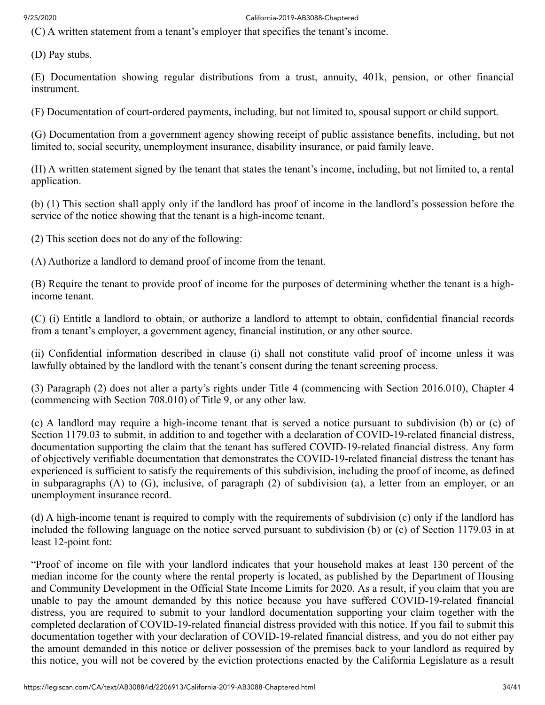(C) A written statement from a tenant's employer that specifies the tenant's income.

(D) Pay stubs.

(E) Documentation showing regular distributions from a trust, annuity, 401k, pension, or other financial instrument.

(F) Documentation of court-ordered payments, including, but not limited to, spousal support or child support.

(G) Documentation from a government agency showing receipt of public assistance benefits, including, but not limited to, social security, unemployment insurance, disability insurance, or paid family leave.

(H) A written statement signed by the tenant that states the tenant's income, including, but not limited to, a rental application.

(b) (1) This section shall apply only if the landlord has proof of income in the landlord's possession before the service of the notice showing that the tenant is a high-income tenant.

(2) This section does not do any of the following:

(A) Authorize a landlord to demand proof of income from the tenant.

(B) Require the tenant to provide proof of income for the purposes of determining whether the tenant is a highincome tenant.

(C) (i) Entitle a landlord to obtain, or authorize a landlord to attempt to obtain, confidential financial records from a tenant's employer, a government agency, financial institution, or any other source.

(ii) Confidential information described in clause (i) shall not constitute valid proof of income unless it was lawfully obtained by the landlord with the tenant's consent during the tenant screening process.

(3) Paragraph (2) does not alter a party's rights under Title 4 (commencing with Section 2016.010), Chapter 4 (commencing with Section 708.010) of Title 9, or any other law.

(c) A landlord may require a high-income tenant that is served a notice pursuant to subdivision (b) or (c) of Section 1179.03 to submit, in addition to and together with a declaration of COVID-19-related financial distress, documentation supporting the claim that the tenant has suffered COVID-19-related financial distress. Any form of objectively verifiable documentation that demonstrates the COVID-19-related financial distress the tenant has experienced is sufficient to satisfy the requirements of this subdivision, including the proof of income, as defined in subparagraphs (A) to (G), inclusive, of paragraph (2) of subdivision (a), a letter from an employer, or an unemployment insurance record.

(d) A high-income tenant is required to comply with the requirements of subdivision (c) only if the landlord has included the following language on the notice served pursuant to subdivision (b) or (c) of Section 1179.03 in at least 12-point font:

"Proof of income on file with your landlord indicates that your household makes at least 130 percent of the median income for the county where the rental property is located, as published by the Department of Housing and Community Development in the Official State Income Limits for 2020. As a result, if you claim that you are unable to pay the amount demanded by this notice because you have suffered COVID-19-related financial distress, you are required to submit to your landlord documentation supporting your claim together with the completed declaration of COVID-19-related financial distress provided with this notice. If you fail to submit this documentation together with your declaration of COVID-19-related financial distress, and you do not either pay the amount demanded in this notice or deliver possession of the premises back to your landlord as required by this notice, you will not be covered by the eviction protections enacted by the California Legislature as a result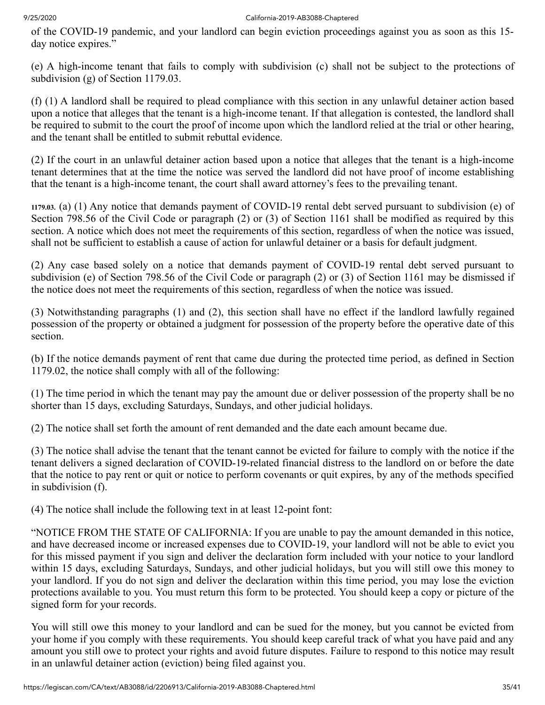of the COVID-19 pandemic, and your landlord can begin eviction proceedings against you as soon as this 15 day notice expires."

(e) A high-income tenant that fails to comply with subdivision (c) shall not be subject to the protections of subdivision (g) of Section 1179.03.

(f) (1) A landlord shall be required to plead compliance with this section in any unlawful detainer action based upon a notice that alleges that the tenant is a high-income tenant. If that allegation is contested, the landlord shall be required to submit to the court the proof of income upon which the landlord relied at the trial or other hearing, and the tenant shall be entitled to submit rebuttal evidence.

(2) If the court in an unlawful detainer action based upon a notice that alleges that the tenant is a high-income tenant determines that at the time the notice was served the landlord did not have proof of income establishing that the tenant is a high-income tenant, the court shall award attorney's fees to the prevailing tenant.

**1179.03.** (a) (1) Any notice that demands payment of COVID-19 rental debt served pursuant to subdivision (e) of Section 798.56 of the Civil Code or paragraph (2) or (3) of Section 1161 shall be modified as required by this section. A notice which does not meet the requirements of this section, regardless of when the notice was issued, shall not be sufficient to establish a cause of action for unlawful detainer or a basis for default judgment.

(2) Any case based solely on a notice that demands payment of COVID-19 rental debt served pursuant to subdivision (e) of Section 798.56 of the Civil Code or paragraph (2) or (3) of Section 1161 may be dismissed if the notice does not meet the requirements of this section, regardless of when the notice was issued.

(3) Notwithstanding paragraphs (1) and (2), this section shall have no effect if the landlord lawfully regained possession of the property or obtained a judgment for possession of the property before the operative date of this section.

(b) If the notice demands payment of rent that came due during the protected time period, as defined in Section 1179.02, the notice shall comply with all of the following:

(1) The time period in which the tenant may pay the amount due or deliver possession of the property shall be no shorter than 15 days, excluding Saturdays, Sundays, and other judicial holidays.

(2) The notice shall set forth the amount of rent demanded and the date each amount became due.

(3) The notice shall advise the tenant that the tenant cannot be evicted for failure to comply with the notice if the tenant delivers a signed declaration of COVID-19-related financial distress to the landlord on or before the date that the notice to pay rent or quit or notice to perform covenants or quit expires, by any of the methods specified in subdivision (f).

(4) The notice shall include the following text in at least 12-point font:

"NOTICE FROM THE STATE OF CALIFORNIA: If you are unable to pay the amount demanded in this notice, and have decreased income or increased expenses due to COVID-19, your landlord will not be able to evict you for this missed payment if you sign and deliver the declaration form included with your notice to your landlord within 15 days, excluding Saturdays, Sundays, and other judicial holidays, but you will still owe this money to your landlord. If you do not sign and deliver the declaration within this time period, you may lose the eviction protections available to you. You must return this form to be protected. You should keep a copy or picture of the signed form for your records.

You will still owe this money to your landlord and can be sued for the money, but you cannot be evicted from your home if you comply with these requirements. You should keep careful track of what you have paid and any amount you still owe to protect your rights and avoid future disputes. Failure to respond to this notice may result in an unlawful detainer action (eviction) being filed against you.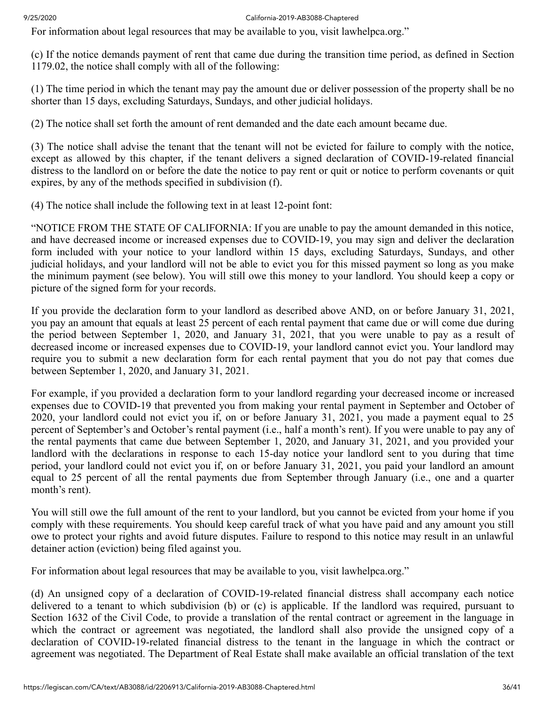For information about legal resources that may be available to you, visit lawhelpca.org."

(c) If the notice demands payment of rent that came due during the transition time period, as defined in Section 1179.02, the notice shall comply with all of the following:

(1) The time period in which the tenant may pay the amount due or deliver possession of the property shall be no shorter than 15 days, excluding Saturdays, Sundays, and other judicial holidays.

(2) The notice shall set forth the amount of rent demanded and the date each amount became due.

(3) The notice shall advise the tenant that the tenant will not be evicted for failure to comply with the notice, except as allowed by this chapter, if the tenant delivers a signed declaration of COVID-19-related financial distress to the landlord on or before the date the notice to pay rent or quit or notice to perform covenants or quit expires, by any of the methods specified in subdivision (f).

(4) The notice shall include the following text in at least 12-point font:

"NOTICE FROM THE STATE OF CALIFORNIA: If you are unable to pay the amount demanded in this notice, and have decreased income or increased expenses due to COVID-19, you may sign and deliver the declaration form included with your notice to your landlord within 15 days, excluding Saturdays, Sundays, and other judicial holidays, and your landlord will not be able to evict you for this missed payment so long as you make the minimum payment (see below). You will still owe this money to your landlord. You should keep a copy or picture of the signed form for your records.

If you provide the declaration form to your landlord as described above AND, on or before January 31, 2021, you pay an amount that equals at least 25 percent of each rental payment that came due or will come due during the period between September 1, 2020, and January 31, 2021, that you were unable to pay as a result of decreased income or increased expenses due to COVID-19, your landlord cannot evict you. Your landlord may require you to submit a new declaration form for each rental payment that you do not pay that comes due between September 1, 2020, and January 31, 2021.

For example, if you provided a declaration form to your landlord regarding your decreased income or increased expenses due to COVID-19 that prevented you from making your rental payment in September and October of 2020, your landlord could not evict you if, on or before January 31, 2021, you made a payment equal to 25 percent of September's and October's rental payment (i.e., half a month's rent). If you were unable to pay any of the rental payments that came due between September 1, 2020, and January 31, 2021, and you provided your landlord with the declarations in response to each 15-day notice your landlord sent to you during that time period, your landlord could not evict you if, on or before January 31, 2021, you paid your landlord an amount equal to 25 percent of all the rental payments due from September through January (i.e., one and a quarter month's rent).

You will still owe the full amount of the rent to your landlord, but you cannot be evicted from your home if you comply with these requirements. You should keep careful track of what you have paid and any amount you still owe to protect your rights and avoid future disputes. Failure to respond to this notice may result in an unlawful detainer action (eviction) being filed against you.

For information about legal resources that may be available to you, visit lawhelpca.org."

(d) An unsigned copy of a declaration of COVID-19-related financial distress shall accompany each notice delivered to a tenant to which subdivision (b) or (c) is applicable. If the landlord was required, pursuant to Section 1632 of the Civil Code, to provide a translation of the rental contract or agreement in the language in which the contract or agreement was negotiated, the landlord shall also provide the unsigned copy of a declaration of COVID-19-related financial distress to the tenant in the language in which the contract or agreement was negotiated. The Department of Real Estate shall make available an official translation of the text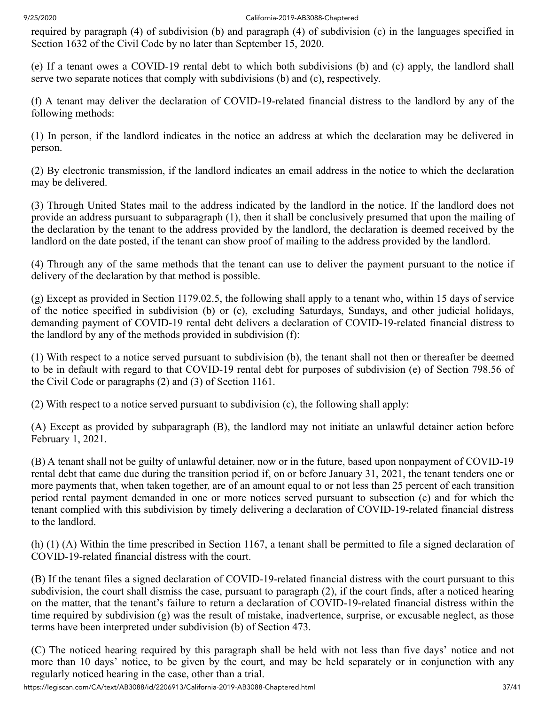required by paragraph (4) of subdivision (b) and paragraph (4) of subdivision (c) in the languages specified in Section 1632 of the Civil Code by no later than September 15, 2020.

(e) If a tenant owes a COVID-19 rental debt to which both subdivisions (b) and (c) apply, the landlord shall serve two separate notices that comply with subdivisions (b) and (c), respectively.

(f) A tenant may deliver the declaration of COVID-19-related financial distress to the landlord by any of the following methods:

(1) In person, if the landlord indicates in the notice an address at which the declaration may be delivered in person.

(2) By electronic transmission, if the landlord indicates an email address in the notice to which the declaration may be delivered.

(3) Through United States mail to the address indicated by the landlord in the notice. If the landlord does not provide an address pursuant to subparagraph (1), then it shall be conclusively presumed that upon the mailing of the declaration by the tenant to the address provided by the landlord, the declaration is deemed received by the landlord on the date posted, if the tenant can show proof of mailing to the address provided by the landlord.

(4) Through any of the same methods that the tenant can use to deliver the payment pursuant to the notice if delivery of the declaration by that method is possible.

(g) Except as provided in Section 1179.02.5, the following shall apply to a tenant who, within 15 days of service of the notice specified in subdivision (b) or (c), excluding Saturdays, Sundays, and other judicial holidays, demanding payment of COVID-19 rental debt delivers a declaration of COVID-19-related financial distress to the landlord by any of the methods provided in subdivision (f):

(1) With respect to a notice served pursuant to subdivision (b), the tenant shall not then or thereafter be deemed to be in default with regard to that COVID-19 rental debt for purposes of subdivision (e) of Section 798.56 of the Civil Code or paragraphs (2) and (3) of Section 1161.

(2) With respect to a notice served pursuant to subdivision (c), the following shall apply:

(A) Except as provided by subparagraph (B), the landlord may not initiate an unlawful detainer action before February 1, 2021.

(B) A tenant shall not be guilty of unlawful detainer, now or in the future, based upon nonpayment of COVID-19 rental debt that came due during the transition period if, on or before January 31, 2021, the tenant tenders one or more payments that, when taken together, are of an amount equal to or not less than 25 percent of each transition period rental payment demanded in one or more notices served pursuant to subsection (c) and for which the tenant complied with this subdivision by timely delivering a declaration of COVID-19-related financial distress to the landlord.

(h) (1) (A) Within the time prescribed in Section 1167, a tenant shall be permitted to file a signed declaration of COVID-19-related financial distress with the court.

(B) If the tenant files a signed declaration of COVID-19-related financial distress with the court pursuant to this subdivision, the court shall dismiss the case, pursuant to paragraph (2), if the court finds, after a noticed hearing on the matter, that the tenant's failure to return a declaration of COVID-19-related financial distress within the time required by subdivision (g) was the result of mistake, inadvertence, surprise, or excusable neglect, as those terms have been interpreted under subdivision (b) of Section 473.

(C) The noticed hearing required by this paragraph shall be held with not less than five days' notice and not more than 10 days' notice, to be given by the court, and may be held separately or in conjunction with any regularly noticed hearing in the case, other than a trial.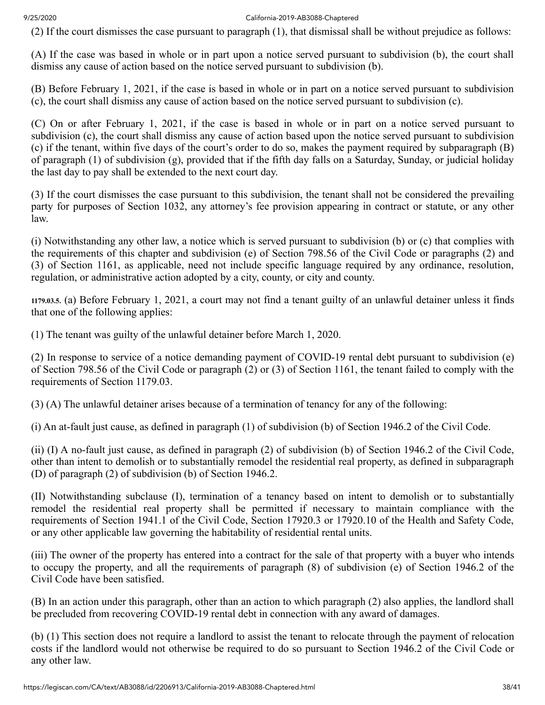(2) If the court dismisses the case pursuant to paragraph (1), that dismissal shall be without prejudice as follows:

(A) If the case was based in whole or in part upon a notice served pursuant to subdivision (b), the court shall dismiss any cause of action based on the notice served pursuant to subdivision (b).

(B) Before February 1, 2021, if the case is based in whole or in part on a notice served pursuant to subdivision (c), the court shall dismiss any cause of action based on the notice served pursuant to subdivision (c).

(C) On or after February 1, 2021, if the case is based in whole or in part on a notice served pursuant to subdivision (c), the court shall dismiss any cause of action based upon the notice served pursuant to subdivision (c) if the tenant, within five days of the court's order to do so, makes the payment required by subparagraph (B) of paragraph (1) of subdivision (g), provided that if the fifth day falls on a Saturday, Sunday, or judicial holiday the last day to pay shall be extended to the next court day.

(3) If the court dismisses the case pursuant to this subdivision, the tenant shall not be considered the prevailing party for purposes of Section 1032, any attorney's fee provision appearing in contract or statute, or any other law.

(i) Notwithstanding any other law, a notice which is served pursuant to subdivision (b) or (c) that complies with the requirements of this chapter and subdivision (e) of Section 798.56 of the Civil Code or paragraphs (2) and (3) of Section 1161, as applicable, need not include specific language required by any ordinance, resolution, regulation, or administrative action adopted by a city, county, or city and county.

**1179.03.5.** (a) Before February 1, 2021, a court may not find a tenant guilty of an unlawful detainer unless it finds that one of the following applies:

(1) The tenant was guilty of the unlawful detainer before March 1, 2020.

(2) In response to service of a notice demanding payment of COVID-19 rental debt pursuant to subdivision (e) of Section 798.56 of the Civil Code or paragraph (2) or (3) of Section 1161, the tenant failed to comply with the requirements of Section 1179.03.

(3) (A) The unlawful detainer arises because of a termination of tenancy for any of the following:

(i) An at-fault just cause, as defined in paragraph (1) of subdivision (b) of Section 1946.2 of the Civil Code.

(ii) (I) A no-fault just cause, as defined in paragraph (2) of subdivision (b) of Section 1946.2 of the Civil Code, other than intent to demolish or to substantially remodel the residential real property, as defined in subparagraph (D) of paragraph (2) of subdivision (b) of Section 1946.2.

(II) Notwithstanding subclause (I), termination of a tenancy based on intent to demolish or to substantially remodel the residential real property shall be permitted if necessary to maintain compliance with the requirements of Section 1941.1 of the Civil Code, Section 17920.3 or 17920.10 of the Health and Safety Code, or any other applicable law governing the habitability of residential rental units.

(iii) The owner of the property has entered into a contract for the sale of that property with a buyer who intends to occupy the property, and all the requirements of paragraph (8) of subdivision (e) of Section 1946.2 of the Civil Code have been satisfied.

(B) In an action under this paragraph, other than an action to which paragraph (2) also applies, the landlord shall be precluded from recovering COVID-19 rental debt in connection with any award of damages.

(b) (1) This section does not require a landlord to assist the tenant to relocate through the payment of relocation costs if the landlord would not otherwise be required to do so pursuant to Section 1946.2 of the Civil Code or any other law.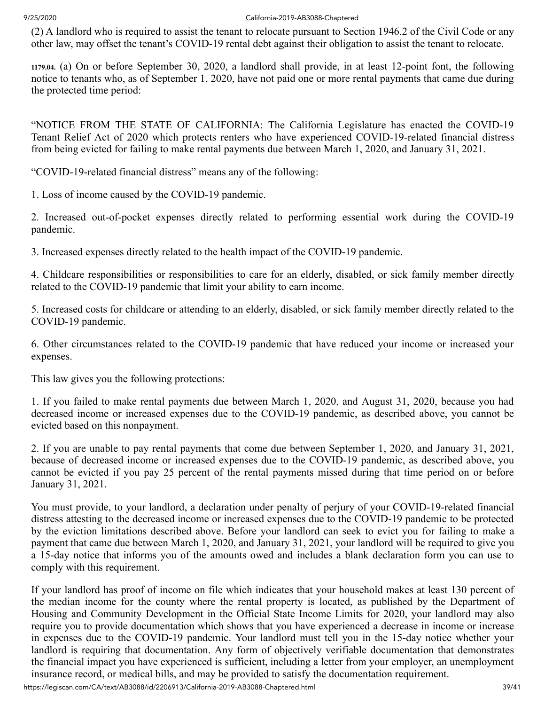(2) A landlord who is required to assist the tenant to relocate pursuant to Section 1946.2 of the Civil Code or any other law, may offset the tenant's COVID-19 rental debt against their obligation to assist the tenant to relocate.

**1179.04.** (a) On or before September 30, 2020, a landlord shall provide, in at least 12-point font, the following notice to tenants who, as of September 1, 2020, have not paid one or more rental payments that came due during the protected time period:

"NOTICE FROM THE STATE OF CALIFORNIA: The California Legislature has enacted the COVID-19 Tenant Relief Act of 2020 which protects renters who have experienced COVID-19-related financial distress from being evicted for failing to make rental payments due between March 1, 2020, and January 31, 2021.

"COVID-19-related financial distress" means any of the following:

1. Loss of income caused by the COVID-19 pandemic.

2. Increased out-of-pocket expenses directly related to performing essential work during the COVID-19 pandemic.

3. Increased expenses directly related to the health impact of the COVID-19 pandemic.

4. Childcare responsibilities or responsibilities to care for an elderly, disabled, or sick family member directly related to the COVID-19 pandemic that limit your ability to earn income.

5. Increased costs for childcare or attending to an elderly, disabled, or sick family member directly related to the COVID-19 pandemic.

6. Other circumstances related to the COVID-19 pandemic that have reduced your income or increased your expenses.

This law gives you the following protections:

1. If you failed to make rental payments due between March 1, 2020, and August 31, 2020, because you had decreased income or increased expenses due to the COVID-19 pandemic, as described above, you cannot be evicted based on this nonpayment.

2. If you are unable to pay rental payments that come due between September 1, 2020, and January 31, 2021, because of decreased income or increased expenses due to the COVID-19 pandemic, as described above, you cannot be evicted if you pay 25 percent of the rental payments missed during that time period on or before January 31, 2021.

You must provide, to your landlord, a declaration under penalty of perjury of your COVID-19-related financial distress attesting to the decreased income or increased expenses due to the COVID-19 pandemic to be protected by the eviction limitations described above. Before your landlord can seek to evict you for failing to make a payment that came due between March 1, 2020, and January 31, 2021, your landlord will be required to give you a 15-day notice that informs you of the amounts owed and includes a blank declaration form you can use to comply with this requirement.

If your landlord has proof of income on file which indicates that your household makes at least 130 percent of the median income for the county where the rental property is located, as published by the Department of Housing and Community Development in the Official State Income Limits for 2020, your landlord may also require you to provide documentation which shows that you have experienced a decrease in income or increase in expenses due to the COVID-19 pandemic. Your landlord must tell you in the 15-day notice whether your landlord is requiring that documentation. Any form of objectively verifiable documentation that demonstrates the financial impact you have experienced is sufficient, including a letter from your employer, an unemployment insurance record, or medical bills, and may be provided to satisfy the documentation requirement.

https://legiscan.com/CA/text/AB3088/id/2206913/California-2019-AB3088-Chaptered.html 39/41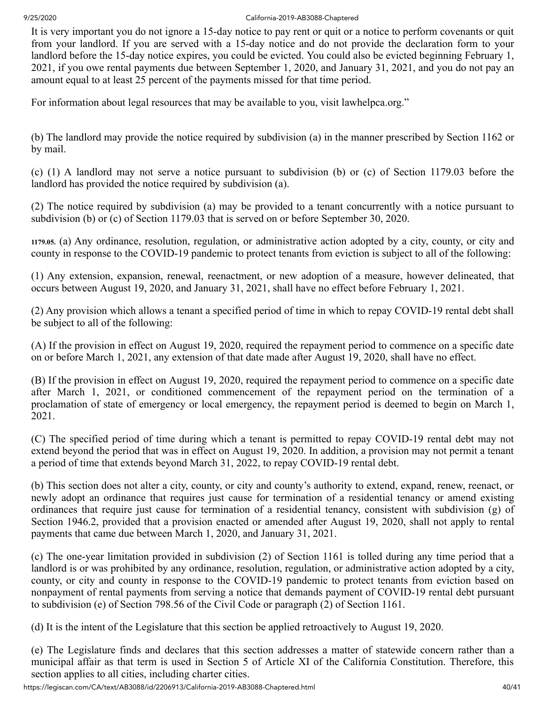It is very important you do not ignore a 15-day notice to pay rent or quit or a notice to perform covenants or quit from your landlord. If you are served with a 15-day notice and do not provide the declaration form to your landlord before the 15-day notice expires, you could be evicted. You could also be evicted beginning February 1, 2021, if you owe rental payments due between September 1, 2020, and January 31, 2021, and you do not pay an amount equal to at least 25 percent of the payments missed for that time period.

For information about legal resources that may be available to you, visit lawhelpca.org."

(b) The landlord may provide the notice required by subdivision (a) in the manner prescribed by Section 1162 or by mail.

(c) (1) A landlord may not serve a notice pursuant to subdivision (b) or (c) of Section 1179.03 before the landlord has provided the notice required by subdivision (a).

(2) The notice required by subdivision (a) may be provided to a tenant concurrently with a notice pursuant to subdivision (b) or (c) of Section 1179.03 that is served on or before September 30, 2020.

**1179.05.** (a) Any ordinance, resolution, regulation, or administrative action adopted by a city, county, or city and county in response to the COVID-19 pandemic to protect tenants from eviction is subject to all of the following:

(1) Any extension, expansion, renewal, reenactment, or new adoption of a measure, however delineated, that occurs between August 19, 2020, and January 31, 2021, shall have no effect before February 1, 2021.

(2) Any provision which allows a tenant a specified period of time in which to repay COVID-19 rental debt shall be subject to all of the following:

(A) If the provision in effect on August 19, 2020, required the repayment period to commence on a specific date on or before March 1, 2021, any extension of that date made after August 19, 2020, shall have no effect.

(B) If the provision in effect on August 19, 2020, required the repayment period to commence on a specific date after March 1, 2021, or conditioned commencement of the repayment period on the termination of a proclamation of state of emergency or local emergency, the repayment period is deemed to begin on March 1, 2021.

(C) The specified period of time during which a tenant is permitted to repay COVID-19 rental debt may not extend beyond the period that was in effect on August 19, 2020. In addition, a provision may not permit a tenant a period of time that extends beyond March 31, 2022, to repay COVID-19 rental debt.

(b) This section does not alter a city, county, or city and county's authority to extend, expand, renew, reenact, or newly adopt an ordinance that requires just cause for termination of a residential tenancy or amend existing ordinances that require just cause for termination of a residential tenancy, consistent with subdivision (g) of Section 1946.2, provided that a provision enacted or amended after August 19, 2020, shall not apply to rental payments that came due between March 1, 2020, and January 31, 2021.

(c) The one-year limitation provided in subdivision (2) of Section 1161 is tolled during any time period that a landlord is or was prohibited by any ordinance, resolution, regulation, or administrative action adopted by a city, county, or city and county in response to the COVID-19 pandemic to protect tenants from eviction based on nonpayment of rental payments from serving a notice that demands payment of COVID-19 rental debt pursuant to subdivision (e) of Section 798.56 of the Civil Code or paragraph (2) of Section 1161.

(d) It is the intent of the Legislature that this section be applied retroactively to August 19, 2020.

(e) The Legislature finds and declares that this section addresses a matter of statewide concern rather than a municipal affair as that term is used in Section 5 of Article XI of the California Constitution. Therefore, this section applies to all cities, including charter cities.